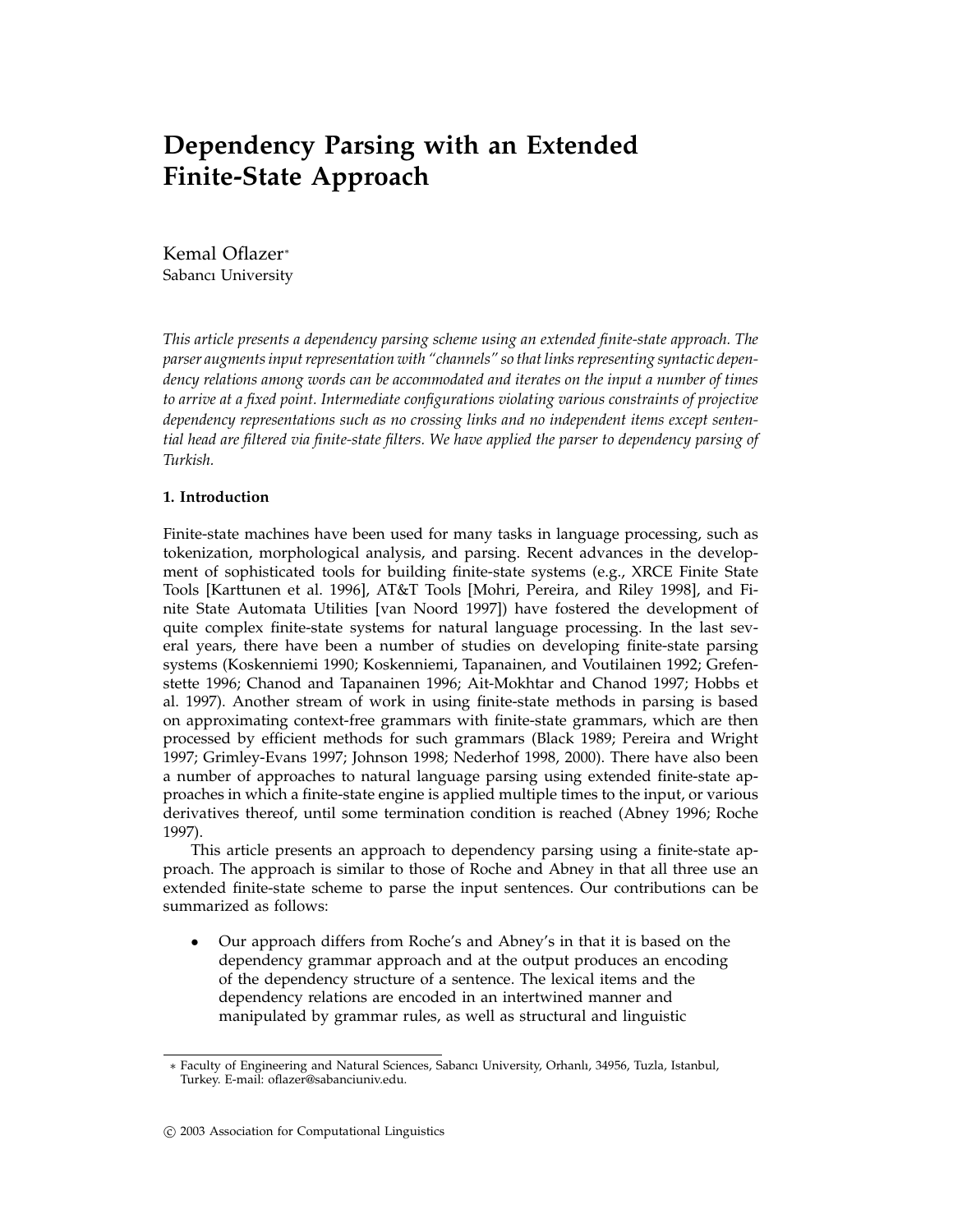# **Dependency Parsing with an Extended Finite-State Approach**

Kemal Oflazer<sup>∗</sup> Sabancı University

*This article presents a dependency parsing scheme using an extended finite-state approach. The parser augments input representation with "channels" so that links representing syntactic dependency relations among words can be accommodated and iterates on the input a number of times to arrive at a fixed point. Intermediate configurations violating various constraints of projective dependency representations such as no crossing links and no independent items except sentential head are filtered via finite-state filters. We have applied the parser to dependency parsing of Turkish.*

### **1. Introduction**

Finite-state machines have been used for many tasks in language processing, such as tokenization, morphological analysis, and parsing. Recent advances in the development of sophisticated tools for building finite-state systems (e.g., XRCE Finite State Tools [Karttunen et al. 1996], AT&T Tools [Mohri, Pereira, and Riley 1998], and Finite State Automata Utilities [van Noord 1997]) have fostered the development of quite complex finite-state systems for natural language processing. In the last several years, there have been a number of studies on developing finite-state parsing systems (Koskenniemi 1990; Koskenniemi, Tapanainen, and Voutilainen 1992; Grefenstette 1996; Chanod and Tapanainen 1996; Ait-Mokhtar and Chanod 1997; Hobbs et al. 1997). Another stream of work in using finite-state methods in parsing is based on approximating context-free grammars with finite-state grammars, which are then processed by efficient methods for such grammars (Black 1989; Pereira and Wright 1997; Grimley-Evans 1997; Johnson 1998; Nederhof 1998, 2000). There have also been a number of approaches to natural language parsing using extended finite-state approaches in which a finite-state engine is applied multiple times to the input, or various derivatives thereof, until some termination condition is reached (Abney 1996; Roche 1997).

This article presents an approach to dependency parsing using a finite-state approach. The approach is similar to those of Roche and Abney in that all three use an extended finite-state scheme to parse the input sentences. Our contributions can be summarized as follows:

• Our approach differs from Roche's and Abney's in that it is based on the dependency grammar approach and at the output produces an encoding of the dependency structure of a sentence. The lexical items and the dependency relations are encoded in an intertwined manner and manipulated by grammar rules, as well as structural and linguistic

<sup>∗</sup> Faculty of Engineering and Natural Sciences, Sabancı University, Orhanlı, 34956, Tuzla, Istanbul, Turkey. E-mail: oflazer@sabanciuniv.edu.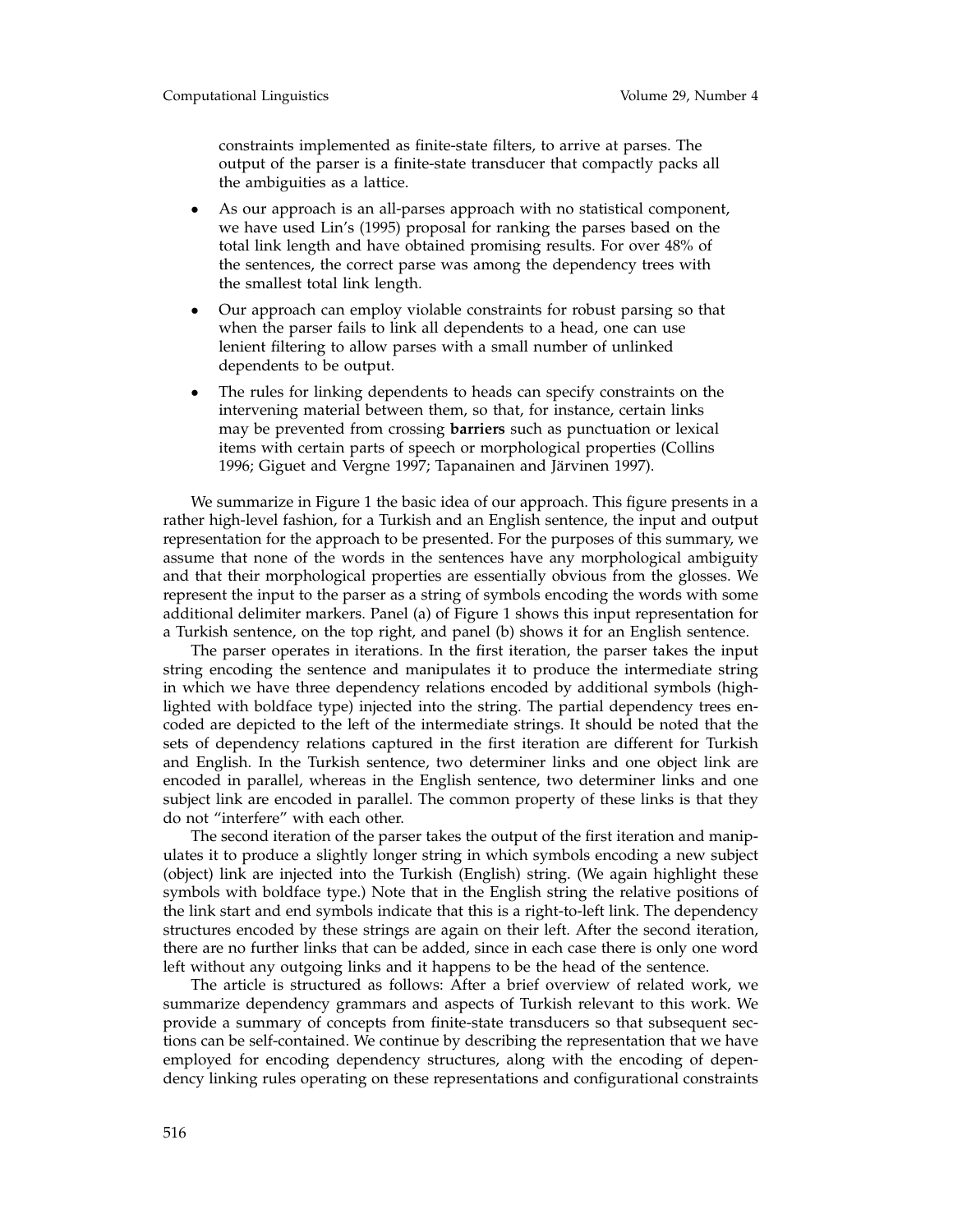constraints implemented as finite-state filters, to arrive at parses. The output of the parser is a finite-state transducer that compactly packs all the ambiguities as a lattice.

- As our approach is an all-parses approach with no statistical component, we have used Lin's (1995) proposal for ranking the parses based on the total link length and have obtained promising results. For over 48% of the sentences, the correct parse was among the dependency trees with the smallest total link length.
- Our approach can employ violable constraints for robust parsing so that when the parser fails to link all dependents to a head, one can use lenient filtering to allow parses with a small number of unlinked dependents to be output.
- The rules for linking dependents to heads can specify constraints on the intervening material between them, so that, for instance, certain links may be prevented from crossing **barriers** such as punctuation or lexical items with certain parts of speech or morphological properties (Collins 1996; Giguet and Vergne 1997; Tapanainen and Järvinen 1997).

We summarize in Figure 1 the basic idea of our approach. This figure presents in a rather high-level fashion, for a Turkish and an English sentence, the input and output representation for the approach to be presented. For the purposes of this summary, we assume that none of the words in the sentences have any morphological ambiguity and that their morphological properties are essentially obvious from the glosses. We represent the input to the parser as a string of symbols encoding the words with some additional delimiter markers. Panel (a) of Figure 1 shows this input representation for a Turkish sentence, on the top right, and panel (b) shows it for an English sentence.

The parser operates in iterations. In the first iteration, the parser takes the input string encoding the sentence and manipulates it to produce the intermediate string in which we have three dependency relations encoded by additional symbols (highlighted with boldface type) injected into the string. The partial dependency trees encoded are depicted to the left of the intermediate strings. It should be noted that the sets of dependency relations captured in the first iteration are different for Turkish and English. In the Turkish sentence, two determiner links and one object link are encoded in parallel, whereas in the English sentence, two determiner links and one subject link are encoded in parallel. The common property of these links is that they do not "interfere" with each other.

The second iteration of the parser takes the output of the first iteration and manipulates it to produce a slightly longer string in which symbols encoding a new subject (object) link are injected into the Turkish (English) string. (We again highlight these symbols with boldface type.) Note that in the English string the relative positions of the link start and end symbols indicate that this is a right-to-left link. The dependency structures encoded by these strings are again on their left. After the second iteration, there are no further links that can be added, since in each case there is only one word left without any outgoing links and it happens to be the head of the sentence.

The article is structured as follows: After a brief overview of related work, we summarize dependency grammars and aspects of Turkish relevant to this work. We provide a summary of concepts from finite-state transducers so that subsequent sections can be self-contained. We continue by describing the representation that we have employed for encoding dependency structures, along with the encoding of dependency linking rules operating on these representations and configurational constraints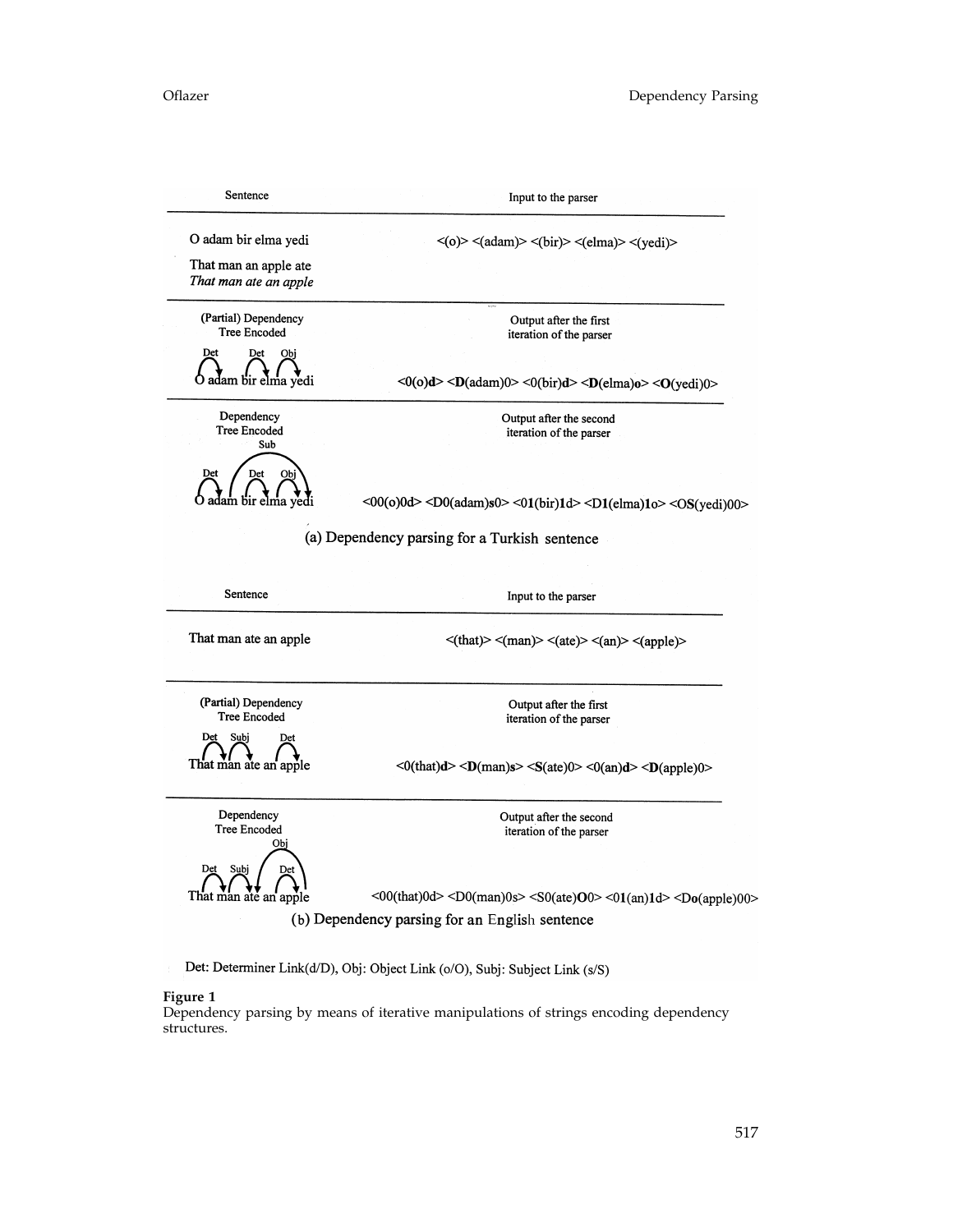| Sentence                                      | Input to the parser<br>$\langle$ (o)> $\langle$ (adam)> $\langle$ (bir)> $\langle$ (elma)> $\langle$ (yedi)>                   |  |  |  |  |
|-----------------------------------------------|--------------------------------------------------------------------------------------------------------------------------------|--|--|--|--|
| O adam bir elma yedi<br>That man an apple ate |                                                                                                                                |  |  |  |  |
| That man ate an apple                         |                                                                                                                                |  |  |  |  |
| (Partial) Dependency<br><b>Tree Encoded</b>   | Output after the first<br>iteration of the parser                                                                              |  |  |  |  |
| Det<br>Det<br>Obi<br>adam bir elma yedi       | <0(0)d> <d(adam)0> &lt;0(bir)d&gt; <d(elma)o> <o(yedi)0></o(yedi)0></d(elma)o></d(adam)0>                                      |  |  |  |  |
| Dependency<br><b>Tree Encoded</b><br>Sub      | Output after the second<br>iteration of the parser                                                                             |  |  |  |  |
| Det<br>Det<br>Obi<br>adam bir elma yedi       | <00(0)0d> <d0(adam)s0> &lt;01(bir)1d&gt; <d1(elma)1o> <os(yedi)00></os(yedi)00></d1(elma)1o></d0(adam)s0>                      |  |  |  |  |
|                                               | (a) Dependency parsing for a Turkish sentence                                                                                  |  |  |  |  |
| Sentence                                      | Input to the parser                                                                                                            |  |  |  |  |
| That man ate an apple                         | $\langle$ (that)> $\langle$ (man)> $\langle$ (ate)> $\langle$ (an)> $\langle$ (apple)>                                         |  |  |  |  |
| (Partial) Dependency<br><b>Tree Encoded</b>   | Output after the first<br>iteration of the parser                                                                              |  |  |  |  |
| Det<br>Subi<br>Det<br>That man ate an apple   | $<0$ (that)d> $<$ D(man)s> $<$ S(ate)0> $<0$ (an)d> $<$ D(apple)0>                                                             |  |  |  |  |
| Dependency<br><b>Tree Encoded</b><br>Obj      | Output after the second<br>iteration of the parser                                                                             |  |  |  |  |
| Subj<br>Det<br>Det<br>That man ate an apple   | $<$ 00(that)0d> $<$ D0(man)0s> $<$ S0(ate)O0> $<$ 01(an)1d> $<$ Do(apple)00><br>(b) Dependency parsing for an English sentence |  |  |  |  |

Det: Determiner Link(d/D), Obj: Object Link (o/O), Subj: Subject Link (s/S)

### **Figure 1**

Dependency parsing by means of iterative manipulations of strings encoding dependency structures.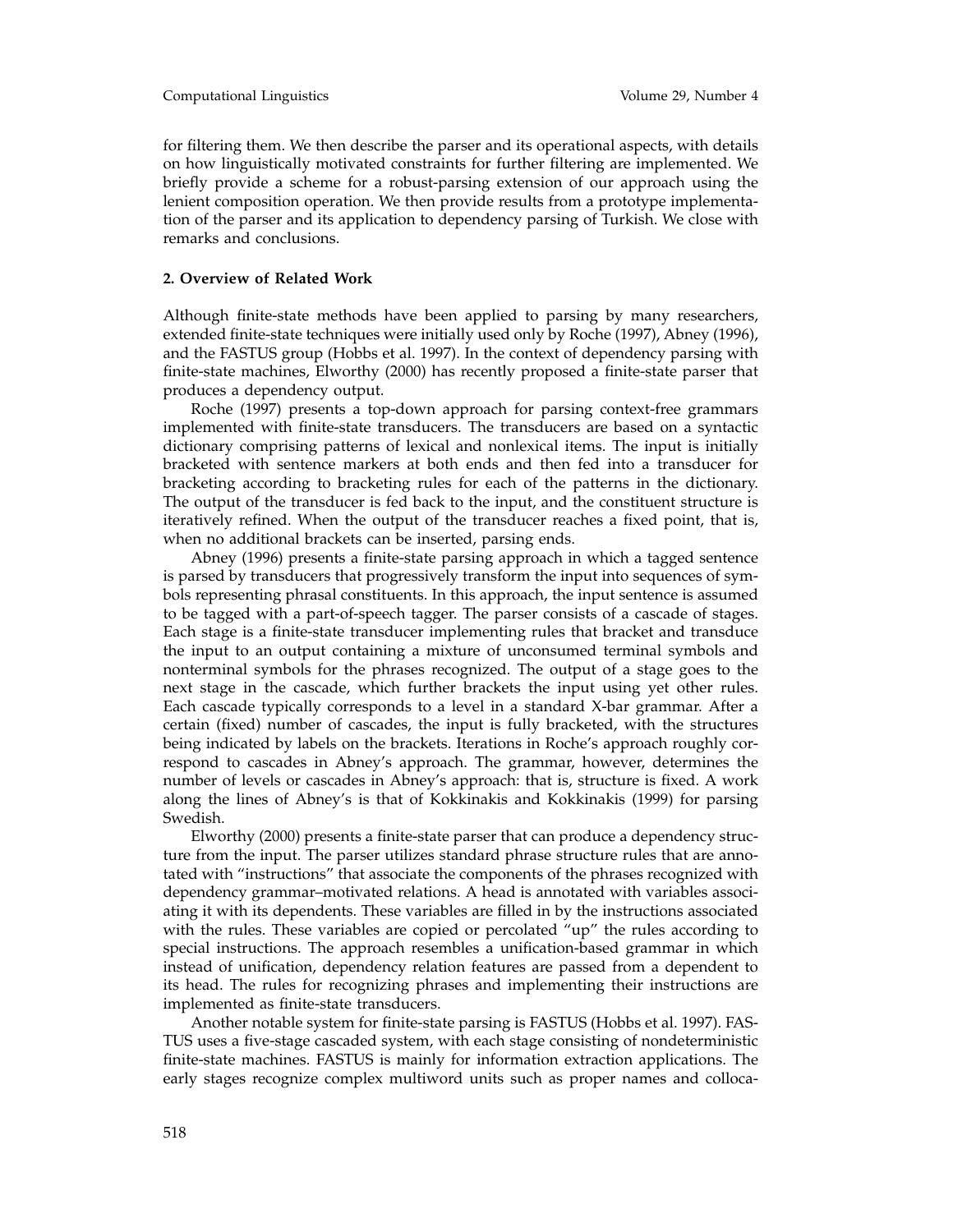for filtering them. We then describe the parser and its operational aspects, with details on how linguistically motivated constraints for further filtering are implemented. We briefly provide a scheme for a robust-parsing extension of our approach using the lenient composition operation. We then provide results from a prototype implementation of the parser and its application to dependency parsing of Turkish. We close with remarks and conclusions.

### **2. Overview of Related Work**

Although finite-state methods have been applied to parsing by many researchers, extended finite-state techniques were initially used only by Roche (1997), Abney (1996), and the FASTUS group (Hobbs et al. 1997). In the context of dependency parsing with finite-state machines, Elworthy (2000) has recently proposed a finite-state parser that produces a dependency output.

Roche (1997) presents a top-down approach for parsing context-free grammars implemented with finite-state transducers. The transducers are based on a syntactic dictionary comprising patterns of lexical and nonlexical items. The input is initially bracketed with sentence markers at both ends and then fed into a transducer for bracketing according to bracketing rules for each of the patterns in the dictionary. The output of the transducer is fed back to the input, and the constituent structure is iteratively refined. When the output of the transducer reaches a fixed point, that is, when no additional brackets can be inserted, parsing ends.

Abney (1996) presents a finite-state parsing approach in which a tagged sentence is parsed by transducers that progressively transform the input into sequences of symbols representing phrasal constituents. In this approach, the input sentence is assumed to be tagged with a part-of-speech tagger. The parser consists of a cascade of stages. Each stage is a finite-state transducer implementing rules that bracket and transduce the input to an output containing a mixture of unconsumed terminal symbols and nonterminal symbols for the phrases recognized. The output of a stage goes to the next stage in the cascade, which further brackets the input using yet other rules. Each cascade typically corresponds to a level in a standard X-bar grammar. After a certain (fixed) number of cascades, the input is fully bracketed, with the structures being indicated by labels on the brackets. Iterations in Roche's approach roughly correspond to cascades in Abney's approach. The grammar, however, determines the number of levels or cascades in Abney's approach: that is, structure is fixed. A work along the lines of Abney's is that of Kokkinakis and Kokkinakis (1999) for parsing Swedish.

Elworthy (2000) presents a finite-state parser that can produce a dependency structure from the input. The parser utilizes standard phrase structure rules that are annotated with "instructions" that associate the components of the phrases recognized with dependency grammar–motivated relations. A head is annotated with variables associating it with its dependents. These variables are filled in by the instructions associated with the rules. These variables are copied or percolated "up" the rules according to special instructions. The approach resembles a unification-based grammar in which instead of unification, dependency relation features are passed from a dependent to its head. The rules for recognizing phrases and implementing their instructions are implemented as finite-state transducers.

Another notable system for finite-state parsing is FASTUS (Hobbs et al. 1997). FAS-TUS uses a five-stage cascaded system, with each stage consisting of nondeterministic finite-state machines. FASTUS is mainly for information extraction applications. The early stages recognize complex multiword units such as proper names and colloca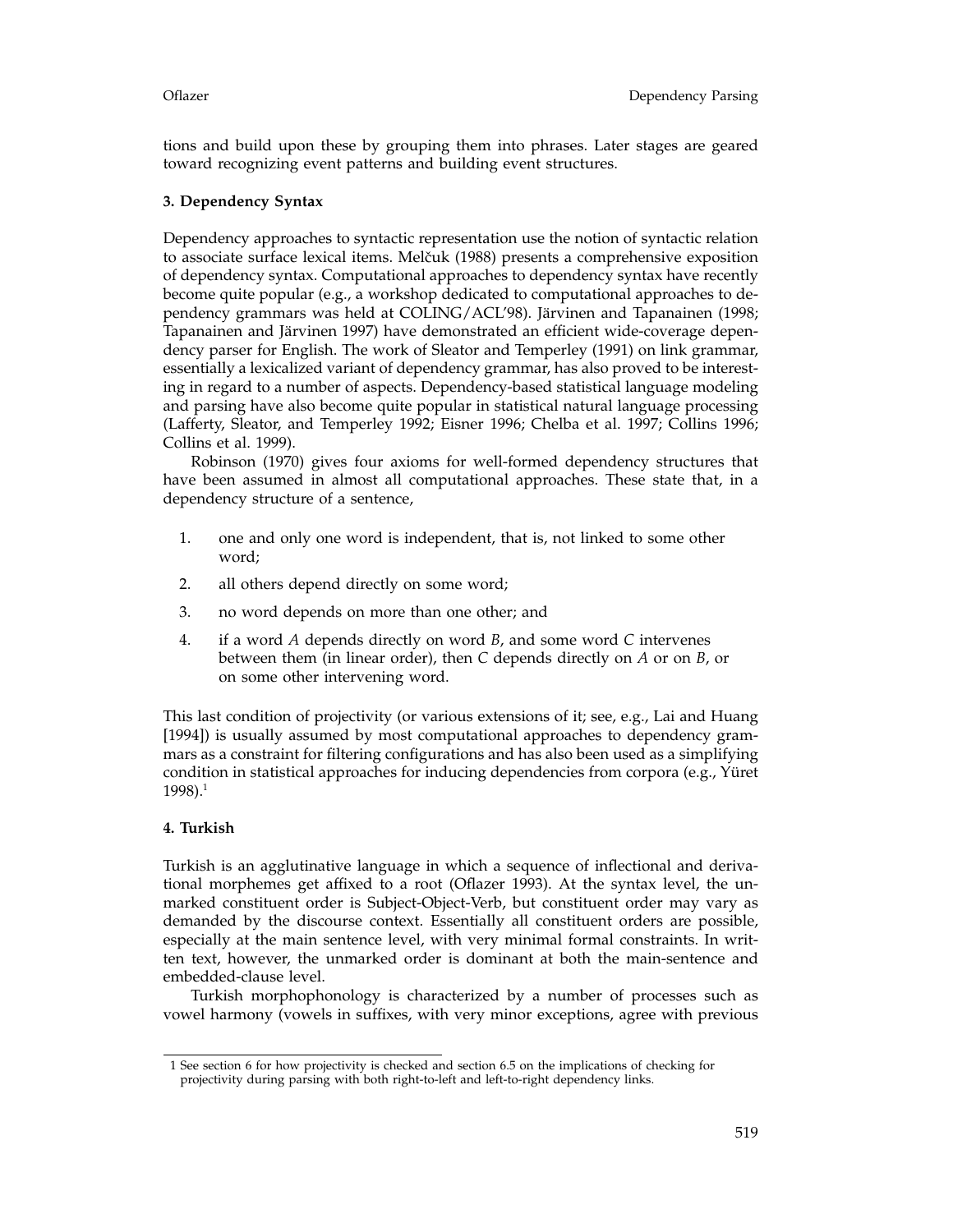tions and build upon these by grouping them into phrases. Later stages are geared toward recognizing event patterns and building event structures.

## **3. Dependency Syntax**

Dependency approaches to syntactic representation use the notion of syntactic relation to associate surface lexical items. Melˇcuk (1988) presents a comprehensive exposition of dependency syntax. Computational approaches to dependency syntax have recently become quite popular (e.g., a workshop dedicated to computational approaches to dependency grammars was held at COLING/ACL'98). Järvinen and Tapanainen (1998; Tapanainen and Järvinen 1997) have demonstrated an efficient wide-coverage dependency parser for English. The work of Sleator and Temperley (1991) on link grammar, essentially a lexicalized variant of dependency grammar, has also proved to be interesting in regard to a number of aspects. Dependency-based statistical language modeling and parsing have also become quite popular in statistical natural language processing (Lafferty, Sleator, and Temperley 1992; Eisner 1996; Chelba et al. 1997; Collins 1996; Collins et al. 1999).

Robinson (1970) gives four axioms for well-formed dependency structures that have been assumed in almost all computational approaches. These state that, in a dependency structure of a sentence,

- 1. one and only one word is independent, that is, not linked to some other word;
- 2. all others depend directly on some word;
- 3. no word depends on more than one other; and
- 4. if a word *A* depends directly on word *B*, and some word *C* intervenes between them (in linear order), then *C* depends directly on *A* or on *B*, or on some other intervening word.

This last condition of projectivity (or various extensions of it; see, e.g., Lai and Huang [1994]) is usually assumed by most computational approaches to dependency grammars as a constraint for filtering configurations and has also been used as a simplifying condition in statistical approaches for inducing dependencies from corpora (e.g., Yüret  $1998$ ).<sup>1</sup>

### **4. Turkish**

Turkish is an agglutinative language in which a sequence of inflectional and derivational morphemes get affixed to a root (Oflazer 1993). At the syntax level, the unmarked constituent order is Subject-Object-Verb, but constituent order may vary as demanded by the discourse context. Essentially all constituent orders are possible, especially at the main sentence level, with very minimal formal constraints. In written text, however, the unmarked order is dominant at both the main-sentence and embedded-clause level.

Turkish morphophonology is characterized by a number of processes such as vowel harmony (vowels in suffixes, with very minor exceptions, agree with previous

<sup>1</sup> See section 6 for how projectivity is checked and section 6.5 on the implications of checking for projectivity during parsing with both right-to-left and left-to-right dependency links.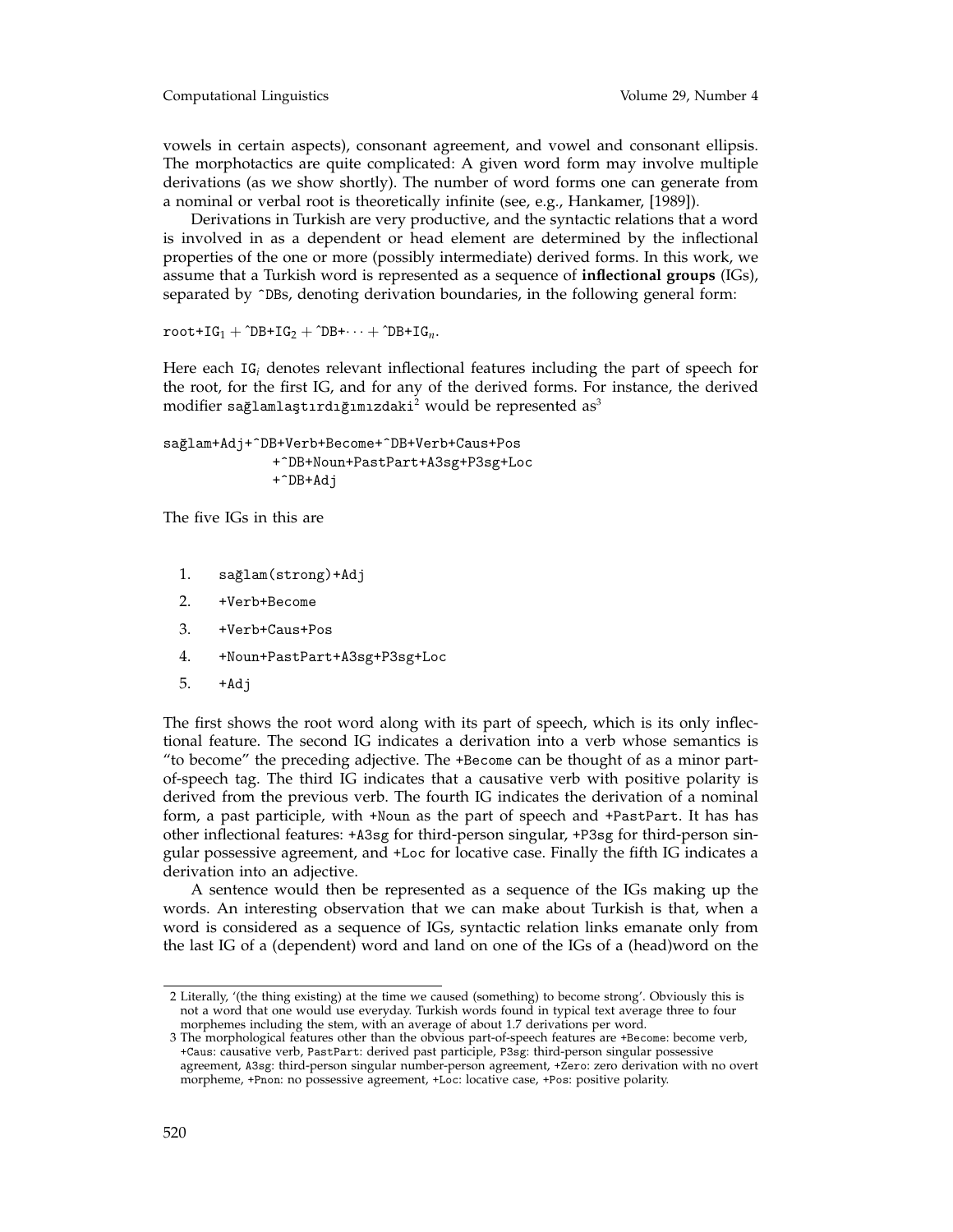vowels in certain aspects), consonant agreement, and vowel and consonant ellipsis. The morphotactics are quite complicated: A given word form may involve multiple derivations (as we show shortly). The number of word forms one can generate from a nominal or verbal root is theoretically infinite (see, e.g., Hankamer, [1989]).

Derivations in Turkish are very productive, and the syntactic relations that a word is involved in as a dependent or head element are determined by the inflectional properties of the one or more (possibly intermediate) derived forms. In this work, we assume that a Turkish word is represented as a sequence of **inflectional groups** (IGs), separated by  $\hat{\ }$ DBs, denoting derivation boundaries, in the following general form:

 $root+IG_1 + ^2DB+IG_2 + ^2DB+ \cdots + ^2DB+IG_n$ .

Here each IG*<sup>i</sup>* denotes relevant inflectional features including the part of speech for the root, for the first IG, and for any of the derived forms. For instance, the derived modifier sağlamlaştırdığımızdaki<sup>2</sup> would be represented as<sup>3</sup>

sağlam+Adj+^DB+Verb+Become+^DB+Verb+Caus+Pos +^DB+Noun+PastPart+A3sg+P3sg+Loc +^DB+Adj

The five IGs in this are

- 1. sağlam(strong)+Adj
- 2. +Verb+Become
- 3. +Verb+Caus+Pos
- 4. +Noun+PastPart+A3sg+P3sg+Loc
- 5. +Adj

The first shows the root word along with its part of speech, which is its only inflectional feature. The second IG indicates a derivation into a verb whose semantics is "to become" the preceding adjective. The +Become can be thought of as a minor partof-speech tag. The third IG indicates that a causative verb with positive polarity is derived from the previous verb. The fourth IG indicates the derivation of a nominal form, a past participle, with +Noun as the part of speech and +PastPart. It has has other inflectional features: +A3sg for third-person singular, +P3sg for third-person singular possessive agreement, and +Loc for locative case. Finally the fifth IG indicates a derivation into an adjective.

A sentence would then be represented as a sequence of the IGs making up the words. An interesting observation that we can make about Turkish is that, when a word is considered as a sequence of IGs, syntactic relation links emanate only from the last IG of a (dependent) word and land on one of the IGs of a (head)word on the

<sup>2</sup> Literally, '(the thing existing) at the time we caused (something) to become strong'. Obviously this is not a word that one would use everyday. Turkish words found in typical text average three to four morphemes including the stem, with an average of about 1.7 derivations per word.

<sup>3</sup> The morphological features other than the obvious part-of-speech features are +Become: become verb, +Caus: causative verb, PastPart: derived past participle, P3sg: third-person singular possessive agreement, A3sg: third-person singular number-person agreement, +Zero: zero derivation with no overt morpheme, +Pnon: no possessive agreement, +Loc: locative case, +Pos: positive polarity.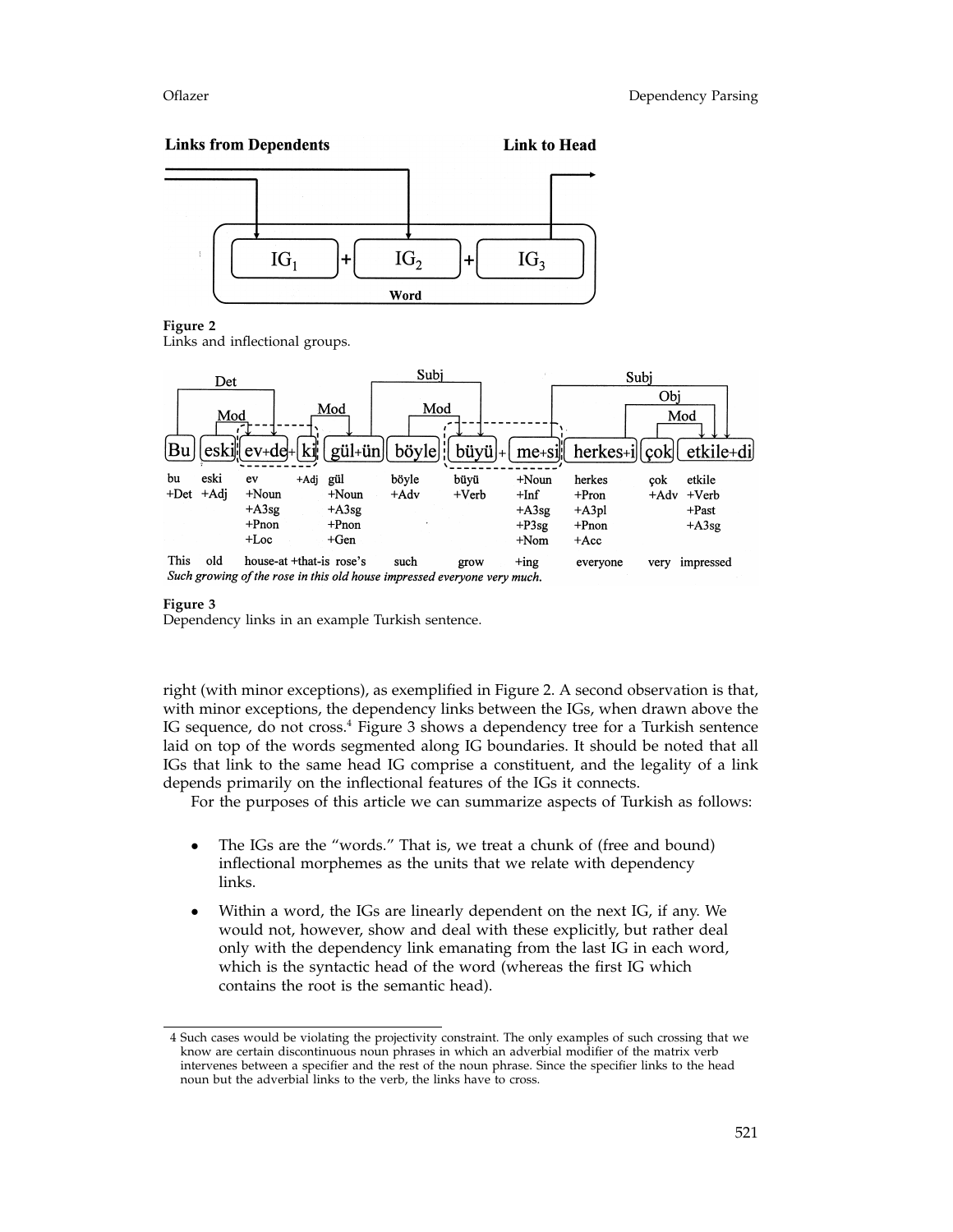### **Links from Dependents Link to Head**



### **Figure 2**

Links and inflectional groups.



### **Figure 3**

Dependency links in an example Turkish sentence.

right (with minor exceptions), as exemplified in Figure 2. A second observation is that, with minor exceptions, the dependency links between the IGs, when drawn above the IG sequence, do not cross.4 Figure 3 shows a dependency tree for a Turkish sentence laid on top of the words segmented along IG boundaries. It should be noted that all IGs that link to the same head IG comprise a constituent, and the legality of a link depends primarily on the inflectional features of the IGs it connects.

For the purposes of this article we can summarize aspects of Turkish as follows:

- The IGs are the "words." That is, we treat a chunk of (free and bound) inflectional morphemes as the units that we relate with dependency links.
- Within a word, the IGs are linearly dependent on the next IG, if any. We would not, however, show and deal with these explicitly, but rather deal only with the dependency link emanating from the last IG in each word, which is the syntactic head of the word (whereas the first IG which contains the root is the semantic head).

<sup>4</sup> Such cases would be violating the projectivity constraint. The only examples of such crossing that we know are certain discontinuous noun phrases in which an adverbial modifier of the matrix verb intervenes between a specifier and the rest of the noun phrase. Since the specifier links to the head noun but the adverbial links to the verb, the links have to cross.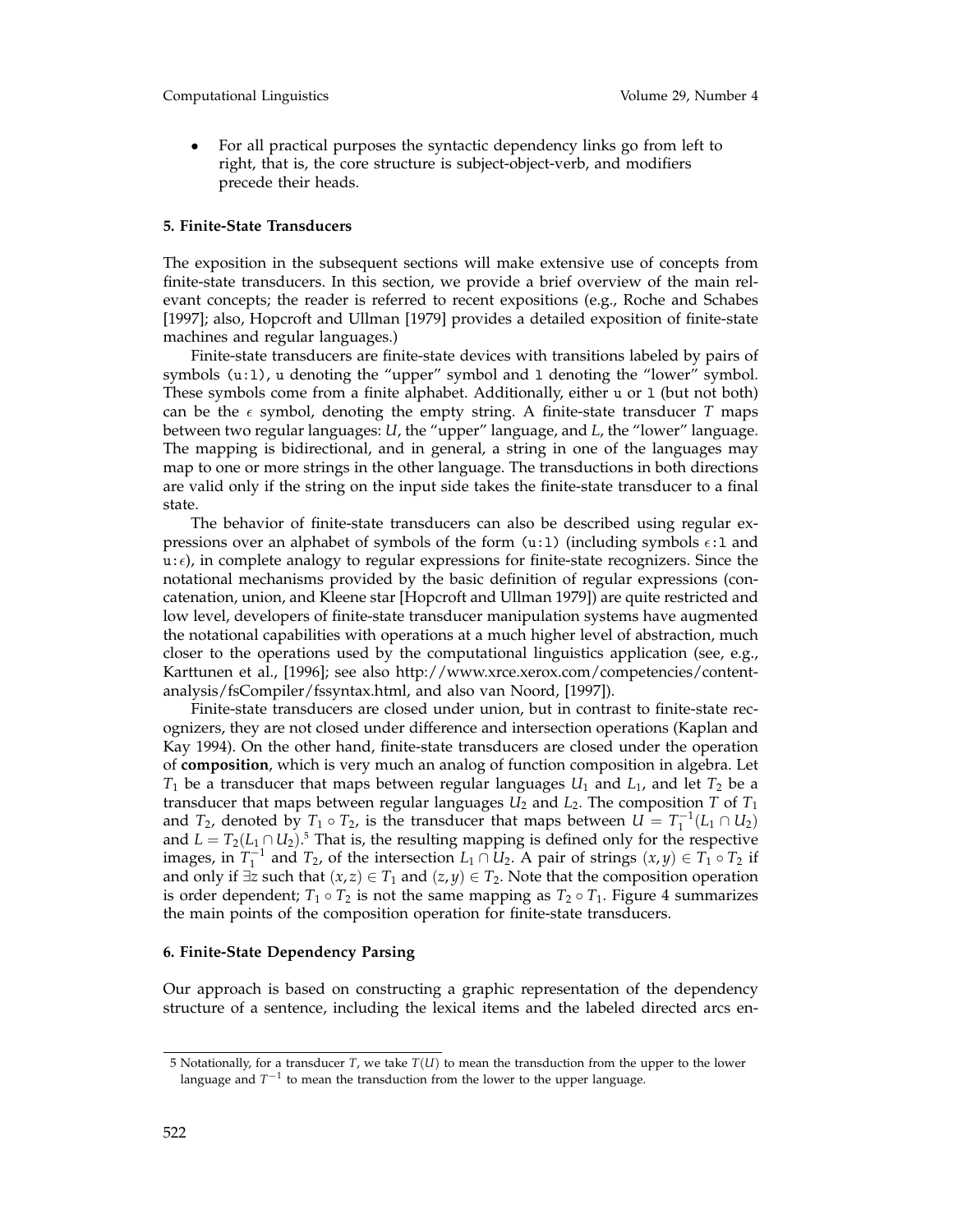• For all practical purposes the syntactic dependency links go from left to right, that is, the core structure is subject-object-verb, and modifiers precede their heads.

### **5. Finite-State Transducers**

The exposition in the subsequent sections will make extensive use of concepts from finite-state transducers. In this section, we provide a brief overview of the main relevant concepts; the reader is referred to recent expositions (e.g., Roche and Schabes [1997]; also, Hopcroft and Ullman [1979] provides a detailed exposition of finite-state machines and regular languages.)

Finite-state transducers are finite-state devices with transitions labeled by pairs of symbols (u:l), u denoting the "upper" symbol and l denoting the "lower" symbol. These symbols come from a finite alphabet. Additionally, either u or l (but not both) can be the  $\epsilon$  symbol, denoting the empty string. A finite-state transducer *T* maps between two regular languages: *U*, the "upper" language, and *L*, the "lower" language. The mapping is bidirectional, and in general, a string in one of the languages may map to one or more strings in the other language. The transductions in both directions are valid only if the string on the input side takes the finite-state transducer to a final state.

The behavior of finite-state transducers can also be described using regular expressions over an alphabet of symbols of the form (u:1) (including symbols  $\epsilon$ :1 and  $u:\epsilon$ ), in complete analogy to regular expressions for finite-state recognizers. Since the notational mechanisms provided by the basic definition of regular expressions (concatenation, union, and Kleene star [Hopcroft and Ullman 1979]) are quite restricted and low level, developers of finite-state transducer manipulation systems have augmented the notational capabilities with operations at a much higher level of abstraction, much closer to the operations used by the computational linguistics application (see, e.g., Karttunen et al., [1996]; see also http://www.xrce.xerox.com/competencies/contentanalysis/fsCompiler/fssyntax.html, and also van Noord, [1997]).

Finite-state transducers are closed under union, but in contrast to finite-state recognizers, they are not closed under difference and intersection operations (Kaplan and Kay 1994). On the other hand, finite-state transducers are closed under the operation of **composition**, which is very much an analog of function composition in algebra. Let  $T_1$  be a transducer that maps between regular languages  $U_1$  and  $L_1$ , and let  $T_2$  be a transducer that maps between regular languages  $U_2$  and  $L_2$ . The composition *T* of  $T_1$ and *T*<sub>2</sub>, denoted by *T*<sub>1</sub> ∘ *T*<sub>2</sub>, is the transducer that maps between  $U = T_1^{-1}(L_1 \cap U_2)$ and  $L = T_2(L_1 \cap U_2)$ .<sup>5</sup> That is, the resulting mapping is defined only for the respective images, in  $T_1^{-1}$  and  $T_2$ , of the intersection  $L_1 \cap U_2$ . A pair of strings  $(x, y) \in T_1 \circ T_2$  if and only if  $\exists z$  such that  $(x, z) \in T_1$  and  $(z, y) \in T_2$ . Note that the composition operation is order dependent;  $T_1 \circ T_2$  is not the same mapping as  $T_2 \circ T_1$ . Figure 4 summarizes the main points of the composition operation for finite-state transducers.

### **6. Finite-State Dependency Parsing**

Our approach is based on constructing a graphic representation of the dependency structure of a sentence, including the lexical items and the labeled directed arcs en-

<sup>5</sup> Notationally, for a transducer *T*, we take *T*(*U*) to mean the transduction from the upper to the lower language and *T*−<sup>1</sup> to mean the transduction from the lower to the upper language.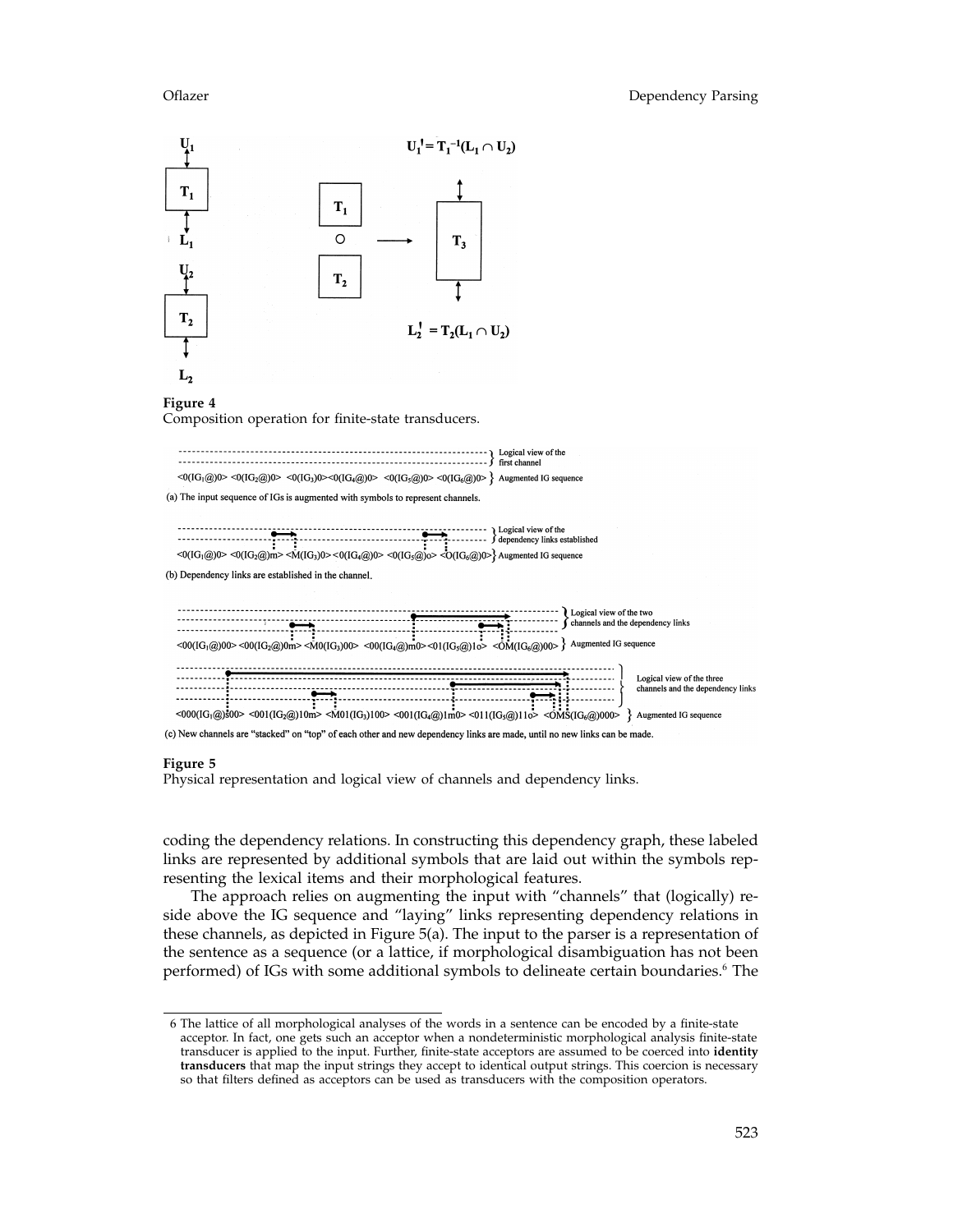

### **Figure 5**

Physical representation and logical view of channels and dependency links.

coding the dependency relations. In constructing this dependency graph, these labeled links are represented by additional symbols that are laid out within the symbols representing the lexical items and their morphological features.

The approach relies on augmenting the input with "channels" that (logically) reside above the IG sequence and "laying" links representing dependency relations in these channels, as depicted in Figure 5(a). The input to the parser is a representation of the sentence as a sequence (or a lattice, if morphological disambiguation has not been performed) of IGs with some additional symbols to delineate certain boundaries.<sup>6</sup> The

<sup>6</sup> The lattice of all morphological analyses of the words in a sentence can be encoded by a finite-state acceptor. In fact, one gets such an acceptor when a nondeterministic morphological analysis finite-state transducer is applied to the input. Further, finite-state acceptors are assumed to be coerced into **identity transducers** that map the input strings they accept to identical output strings. This coercion is necessary so that filters defined as acceptors can be used as transducers with the composition operators.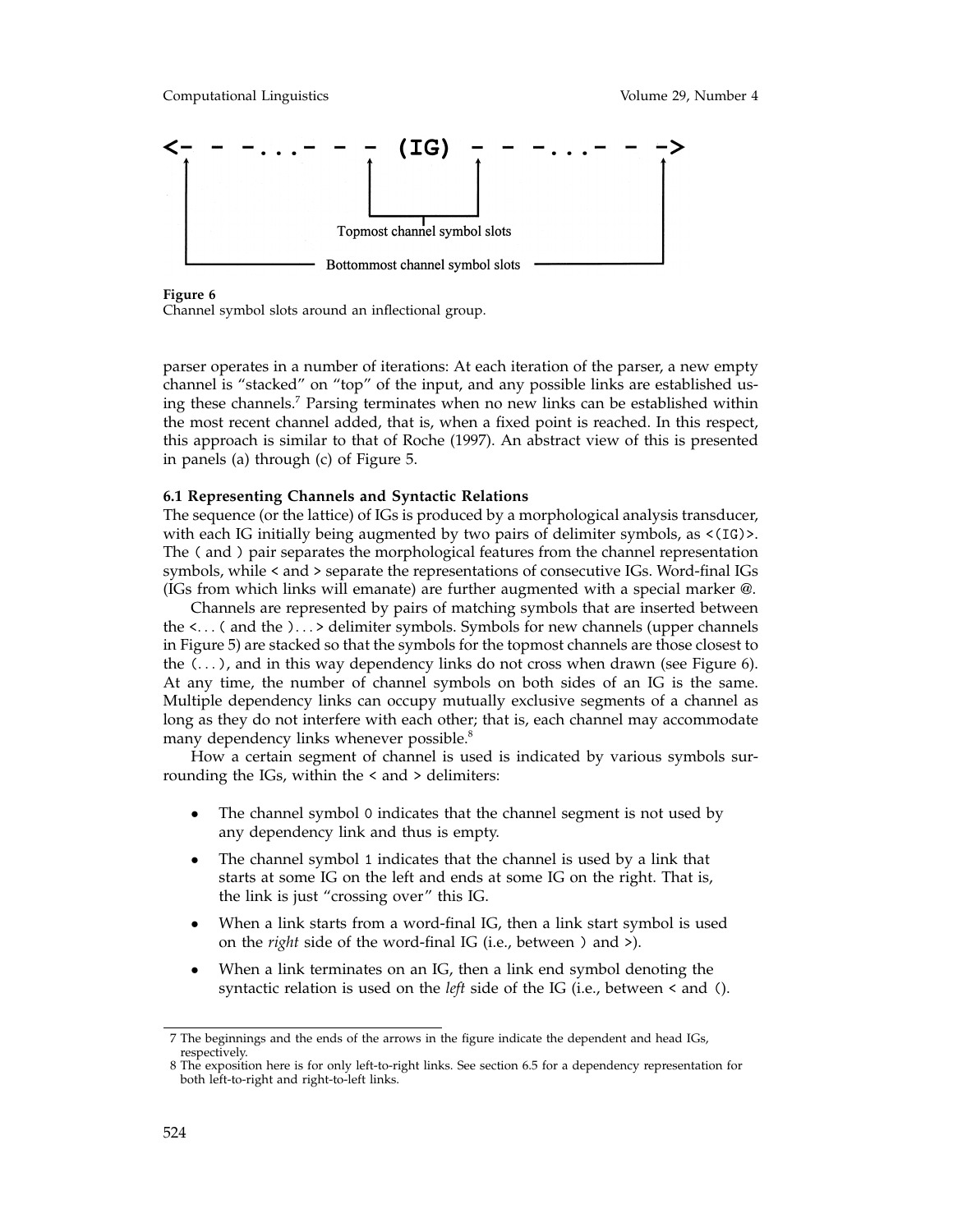

### **Figure 6**

Channel symbol slots around an inflectional group.

parser operates in a number of iterations: At each iteration of the parser, a new empty channel is "stacked" on "top" of the input, and any possible links are established using these channels.7 Parsing terminates when no new links can be established within the most recent channel added, that is, when a fixed point is reached. In this respect, this approach is similar to that of Roche (1997). An abstract view of this is presented in panels (a) through (c) of Figure 5.

### **6.1 Representing Channels and Syntactic Relations**

The sequence (or the lattice) of IGs is produced by a morphological analysis transducer, with each IG initially being augmented by two pairs of delimiter symbols, as <(IG)>. The ( and ) pair separates the morphological features from the channel representation symbols, while < and > separate the representations of consecutive IGs. Word-final IGs (IGs from which links will emanate) are further augmented with a special marker @.

Channels are represented by pairs of matching symbols that are inserted between the <... ( and the )... > delimiter symbols. Symbols for new channels (upper channels in Figure 5) are stacked so that the symbols for the topmost channels are those closest to the  $(\ldots)$ , and in this way dependency links do not cross when drawn (see Figure 6). At any time, the number of channel symbols on both sides of an IG is the same. Multiple dependency links can occupy mutually exclusive segments of a channel as long as they do not interfere with each other; that is, each channel may accommodate many dependency links whenever possible.<sup>8</sup>

How a certain segment of channel is used is indicated by various symbols surrounding the IGs, within the < and > delimiters:

- The channel symbol 0 indicates that the channel segment is not used by any dependency link and thus is empty.
- The channel symbol 1 indicates that the channel is used by a link that starts at some IG on the left and ends at some IG on the right. That is, the link is just "crossing over" this IG.
- When a link starts from a word-final IG, then a link start symbol is used on the *right* side of the word-final IG (i.e., between ) and >).
- When a link terminates on an IG, then a link end symbol denoting the syntactic relation is used on the *left* side of the IG (i.e., between < and ().

<sup>7</sup> The beginnings and the ends of the arrows in the figure indicate the dependent and head IGs, respectively.

<sup>8</sup> The exposition here is for only left-to-right links. See section 6.5 for a dependency representation for both left-to-right and right-to-left links.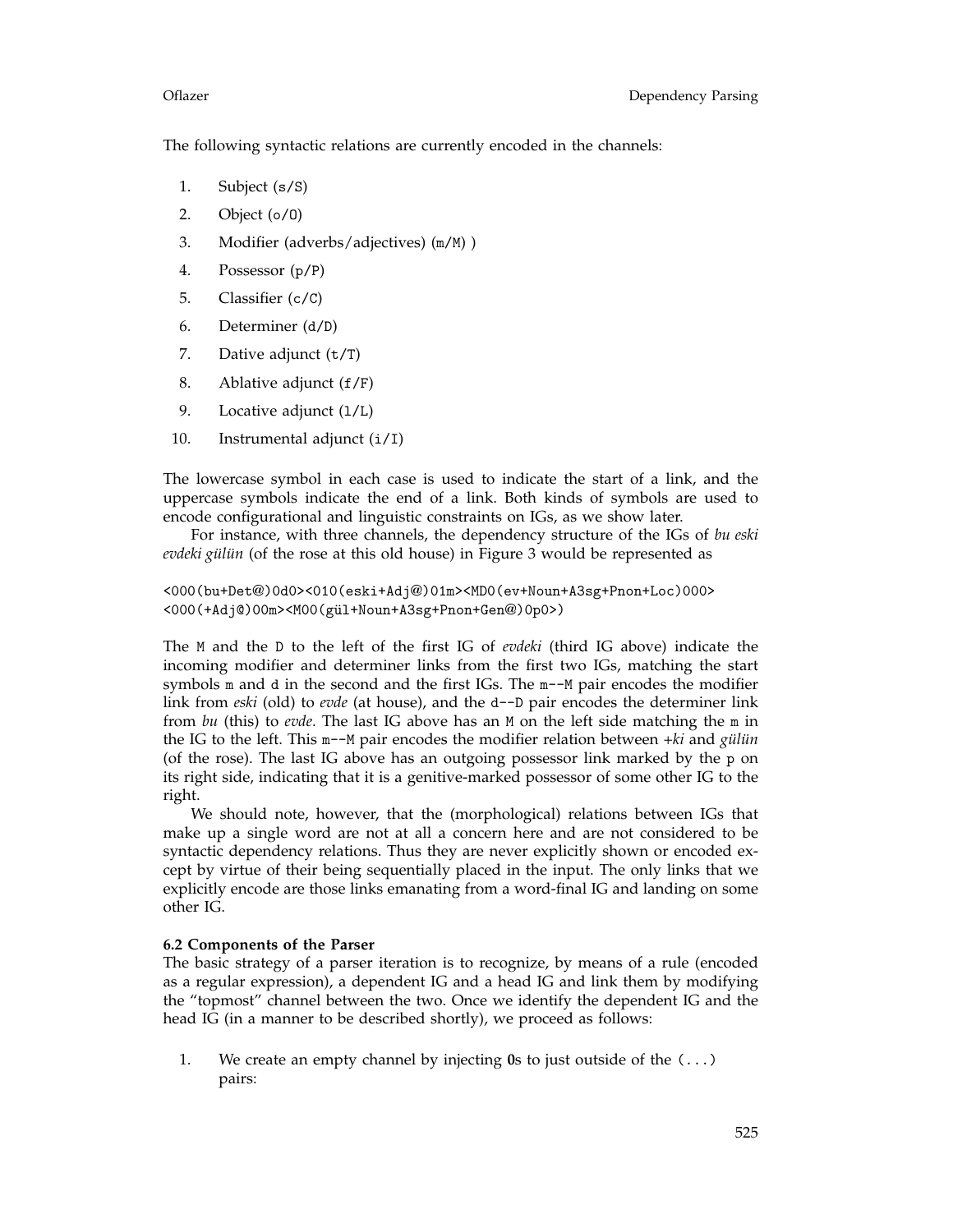The following syntactic relations are currently encoded in the channels:

- 1. Subject (s/S)
- 2. Object (o/O)
- 3. Modifier (adverbs/adjectives) (m/M) )
- 4. Possessor (p/P)
- 5. Classifier (c/C)
- 6. Determiner (d/D)
- 7. Dative adjunct (t/T)
- 8. Ablative adjunct (f/F)
- 9. Locative adjunct (1/L)
- 10. Instrumental adjunct (i/I)

The lowercase symbol in each case is used to indicate the start of a link, and the uppercase symbols indicate the end of a link. Both kinds of symbols are used to encode configurational and linguistic constraints on IGs, as we show later.

For instance, with three channels, the dependency structure of the IGs of *bu eski evdeki gülün* (of the rose at this old house) in Figure 3 would be represented as

```
<000(bu+Det@)0d0><010(eski+Adj@)01m><MD0(ev+Noun+A3sg+Pnon+Loc)000>
<000(+Adj@)00m><M00(gül+Noun+A3sg+Pnon+Gen@)0p0>)
```
The M and the D to the left of the first IG of *evdeki* (third IG above) indicate the incoming modifier and determiner links from the first two IGs, matching the start symbols m and d in the second and the first IGs. The m--M pair encodes the modifier link from *eski* (old) to *evde* (at house), and the d--D pair encodes the determiner link from *bu* (this) to *evde*. The last IG above has an M on the left side matching the m in the IG to the left. This m--M pair encodes the modifier relation between *+ki* and *gülün* (of the rose). The last IG above has an outgoing possessor link marked by the p on its right side, indicating that it is a genitive-marked possessor of some other IG to the right.

We should note, however, that the (morphological) relations between IGs that make up a single word are not at all a concern here and are not considered to be syntactic dependency relations. Thus they are never explicitly shown or encoded except by virtue of their being sequentially placed in the input. The only links that we explicitly encode are those links emanating from a word-final IG and landing on some other IG.

### **6.2 Components of the Parser**

The basic strategy of a parser iteration is to recognize, by means of a rule (encoded as a regular expression), a dependent IG and a head IG and link them by modifying the "topmost" channel between the two. Once we identify the dependent IG and the head IG (in a manner to be described shortly), we proceed as follows:

1. We create an empty channel by injecting **0**s to just outside of the (...) pairs: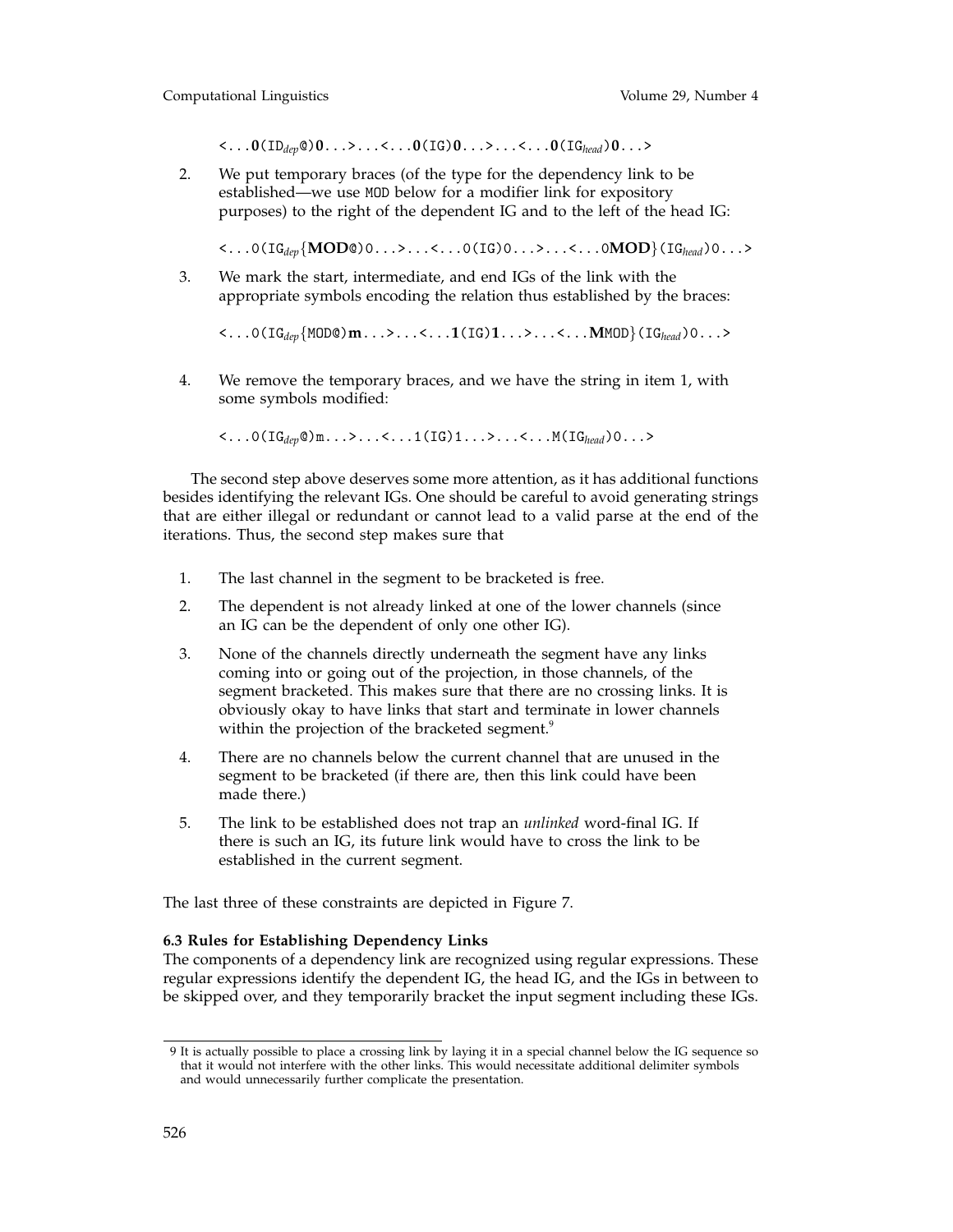<...**0**(ID*dep*@)**0**...>...<...**0**(IG)**0**...>...<...**0**(IG*head*)**0**...>

2. We put temporary braces (of the type for the dependency link to be established—we use MOD below for a modifier link for expository purposes) to the right of the dependent IG and to the left of the head IG:

<...0(IG*dep*{**MOD**@)0...>...<...0(IG)0...>...<...0**MOD**}(IG*head*)0...>

3. We mark the start, intermediate, and end IGs of the link with the appropriate symbols encoding the relation thus established by the braces:

<...0(IG*dep*{MOD@)**m**...>...<...**1**(IG)**1**...>...<...**M**MOD}(IG*head*)0...>

4. We remove the temporary braces, and we have the string in item 1, with some symbols modified:

<...0(IG*dep*@)m...>...<...1(IG)1...>...<...M(IG*head*)0...>

The second step above deserves some more attention, as it has additional functions besides identifying the relevant IGs. One should be careful to avoid generating strings that are either illegal or redundant or cannot lead to a valid parse at the end of the iterations. Thus, the second step makes sure that

- 1. The last channel in the segment to be bracketed is free.
- 2. The dependent is not already linked at one of the lower channels (since an IG can be the dependent of only one other IG).
- 3. None of the channels directly underneath the segment have any links coming into or going out of the projection, in those channels, of the segment bracketed. This makes sure that there are no crossing links. It is obviously okay to have links that start and terminate in lower channels within the projection of the bracketed segment.<sup>9</sup>
- 4. There are no channels below the current channel that are unused in the segment to be bracketed (if there are, then this link could have been made there.)
- 5. The link to be established does not trap an *unlinked* word-final IG. If there is such an IG, its future link would have to cross the link to be established in the current segment.

The last three of these constraints are depicted in Figure 7.

### **6.3 Rules for Establishing Dependency Links**

The components of a dependency link are recognized using regular expressions. These regular expressions identify the dependent IG, the head IG, and the IGs in between to be skipped over, and they temporarily bracket the input segment including these IGs.

<sup>9</sup> It is actually possible to place a crossing link by laying it in a special channel below the IG sequence so that it would not interfere with the other links. This would necessitate additional delimiter symbols and would unnecessarily further complicate the presentation.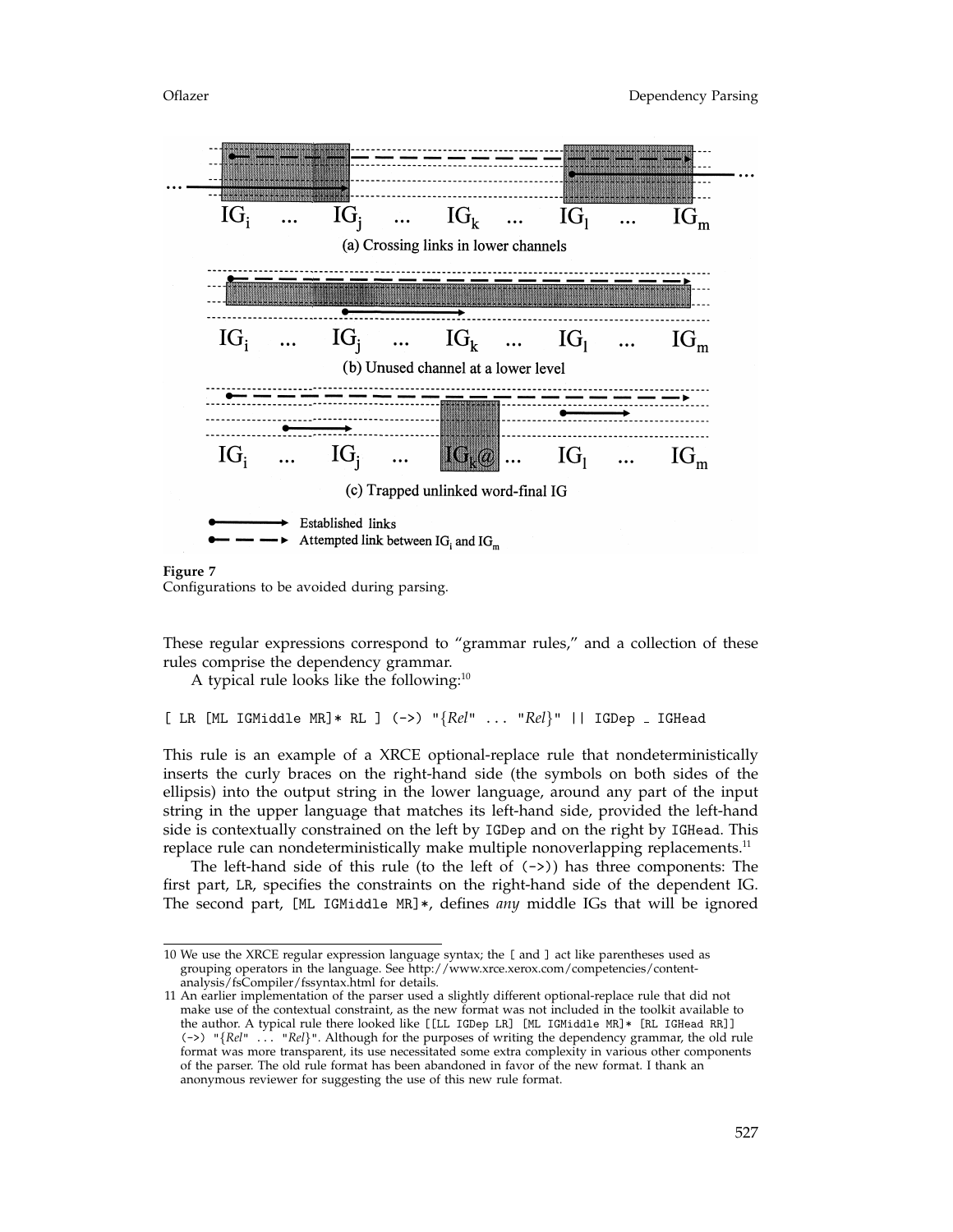

**Figure 7** Configurations to be avoided during parsing.

These regular expressions correspond to "grammar rules," and a collection of these rules comprise the dependency grammar.

A typical rule looks like the following: $10$ 

[ LR [ML IGMiddle MR]\* RL ] (->) "{*Rel*" ... "*Rel*}" || IGDep IGHead

This rule is an example of a XRCE optional-replace rule that nondeterministically inserts the curly braces on the right-hand side (the symbols on both sides of the ellipsis) into the output string in the lower language, around any part of the input string in the upper language that matches its left-hand side, provided the left-hand side is contextually constrained on the left by IGDep and on the right by IGHead. This replace rule can nondeterministically make multiple nonoverlapping replacements.<sup>11</sup>

The left-hand side of this rule (to the left of  $(-)$ ) has three components: The first part, LR, specifies the constraints on the right-hand side of the dependent IG. The second part, [ML IGMiddle MR]\*, defines *any* middle IGs that will be ignored

<sup>10</sup> We use the XRCE regular expression language syntax; the [ and ] act like parentheses used as grouping operators in the language. See http://www.xrce.xerox.com/competencies/contentanalysis/fsCompiler/fssyntax.html for details.

<sup>11</sup> An earlier implementation of the parser used a slightly different optional-replace rule that did not make use of the contextual constraint, as the new format was not included in the toolkit available to the author. A typical rule there looked like [[LL IGDep LR] [ML IGMiddle MR]\* [RL IGHead RR]] (->) "{*Rel*" ... "*Rel*}". Although for the purposes of writing the dependency grammar, the old rule format was more transparent, its use necessitated some extra complexity in various other components of the parser. The old rule format has been abandoned in favor of the new format. I thank an anonymous reviewer for suggesting the use of this new rule format.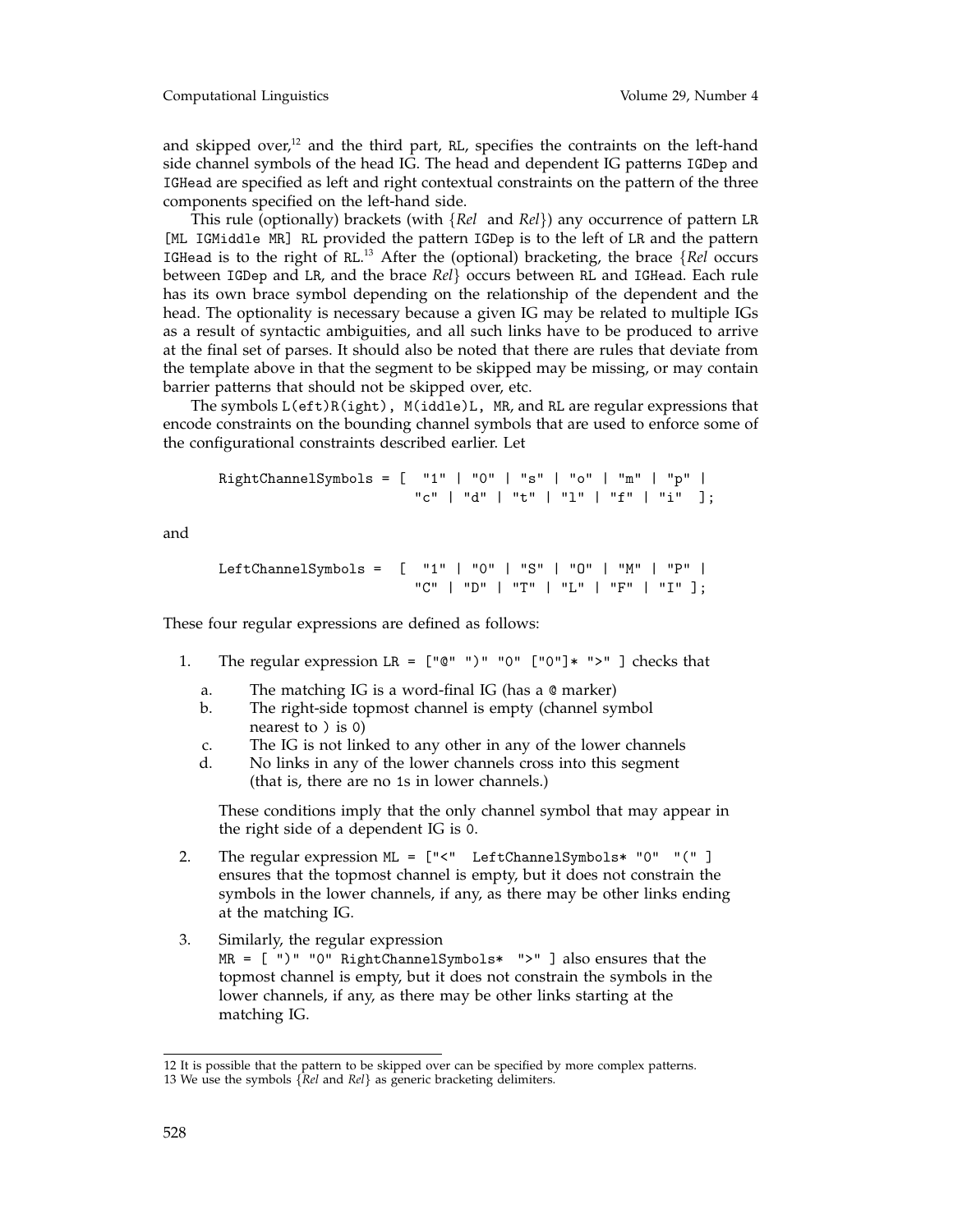and skipped over, $12$  and the third part, RL, specifies the contraints on the left-hand side channel symbols of the head IG. The head and dependent IG patterns IGDep and IGHead are specified as left and right contextual constraints on the pattern of the three components specified on the left-hand side.

This rule (optionally) brackets (with {*Rel* and *Rel*}) any occurrence of pattern LR [ML IGMiddle MR] RL provided the pattern IGDep is to the left of LR and the pattern IGHead is to the right of RL. <sup>13</sup> After the (optional) bracketing, the brace {*Rel* occurs between IGDep and LR, and the brace *Rel*} occurs between RL and IGHead. Each rule has its own brace symbol depending on the relationship of the dependent and the head. The optionality is necessary because a given IG may be related to multiple IGs as a result of syntactic ambiguities, and all such links have to be produced to arrive at the final set of parses. It should also be noted that there are rules that deviate from the template above in that the segment to be skipped may be missing, or may contain barrier patterns that should not be skipped over, etc.

The symbols L(eft)R(ight), M(iddle)L, MR, and RL are regular expressions that encode constraints on the bounding channel symbols that are used to enforce some of the configurational constraints described earlier. Let

```
RightChannelSymbols = [ "1" | "0" | "s" | "o" | "m" | "p" |
                        "c" + "d" + "t" + "l" + "f" + "f" + "i"
```
and

```
LeftChannelSymbols = [ "1" | "0" | "S" | "O" | "M" | "P" |
                       "C" | "D" | "T" | "L" | "F" | "I" ];
```
These four regular expressions are defined as follows:

- 1. The regular expression LR =  $["@" ")" "0" ["0"]* ">=" ] checks that$ 
	- a. The matching IG is a word-final IG (has a @ marker)
	- b. The right-side topmost channel is empty (channel symbol nearest to ) is 0)
	- c. The IG is not linked to any other in any of the lower channels
	- d. No links in any of the lower channels cross into this segment (that is, there are no 1s in lower channels.)

These conditions imply that the only channel symbol that may appear in the right side of a dependent IG is 0.

- 2. The regular expression ML = ["<" LeftChannelSymbols\* "0" "(" ] ensures that the topmost channel is empty, but it does not constrain the symbols in the lower channels, if any, as there may be other links ending at the matching IG.
- 3. Similarly, the regular expression MR = [ ")" "0" RightChannelSymbols\* ">" ] also ensures that the topmost channel is empty, but it does not constrain the symbols in the lower channels, if any, as there may be other links starting at the matching IG.

<sup>12</sup> It is possible that the pattern to be skipped over can be specified by more complex patterns. 13 We use the symbols {*Rel* and *Rel*} as generic bracketing delimiters.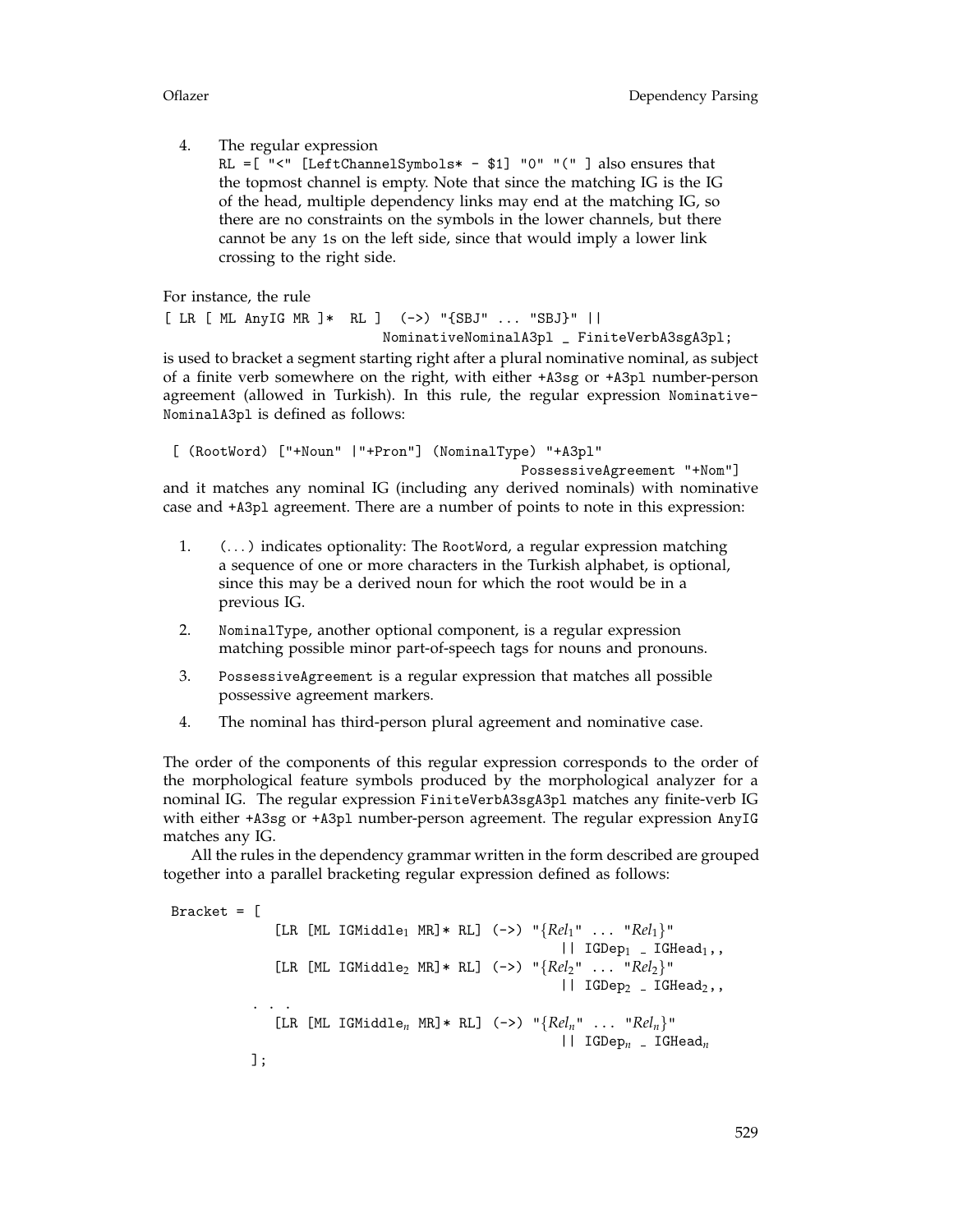4. The regular expression

RL =  $[$  "<"  $[$ LeftChannelSymbols\* - \$1] "0" "(" ] also ensures that the topmost channel is empty. Note that since the matching IG is the IG of the head, multiple dependency links may end at the matching IG, so there are no constraints on the symbols in the lower channels, but there cannot be any 1s on the left side, since that would imply a lower link crossing to the right side.

For instance, the rule

[ LR [ ML AnyIG MR ]\* RL ] (->) "{SBJ" ... "SBJ}" || NominativeNominalA3pl \_ FiniteVerbA3sgA3pl;

is used to bracket a segment starting right after a plural nominative nominal, as subject of a finite verb somewhere on the right, with either +A3sg or +A3pl number-person agreement (allowed in Turkish). In this rule, the regular expression Nominative-NominalA3pl is defined as follows:

[ (RootWord) ["+Noun" |"+Pron"] (NominalType) "+A3pl" PossessiveAgreement "+Nom"]

and it matches any nominal IG (including any derived nominals) with nominative case and +A3pl agreement. There are a number of points to note in this expression:

- 1. (... ) indicates optionality: The RootWord, a regular expression matching a sequence of one or more characters in the Turkish alphabet, is optional, since this may be a derived noun for which the root would be in a previous IG.
- 2. NominalType, another optional component, is a regular expression matching possible minor part-of-speech tags for nouns and pronouns.
- 3. PossessiveAgreement is a regular expression that matches all possible possessive agreement markers.
- 4. The nominal has third-person plural agreement and nominative case.

The order of the components of this regular expression corresponds to the order of the morphological feature symbols produced by the morphological analyzer for a nominal IG. The regular expression FiniteVerbA3sgA3pl matches any finite-verb IG with either +A3sg or +A3pl number-person agreement. The regular expression AnyIG matches any IG.

All the rules in the dependency grammar written in the form described are grouped together into a parallel bracketing regular expression defined as follows:

Bracket  $=$   $\lceil$ [LR [ML IGMiddle<sup>1</sup> MR]\* RL] (->) "{*Rel*1" ... "*Rel*1}"  $||$  IGDep<sub>1</sub> \_ IGHead<sub>1</sub>,, [LR [ML IGMiddle<sup>2</sup> MR]\* RL] (->) "{*Rel*2" ... "*Rel*2}" | IGDep<sub>2</sub> \_ IGHead<sub>2</sub>,, ... [LR [ML IGMiddle<sub>n</sub> MR]\* RL] (->) " ${Rel<sub>n</sub>$ " ... " $Rel<sub>n</sub>}$ " || IGDep*<sup>n</sup>* IGHead*<sup>n</sup>* ];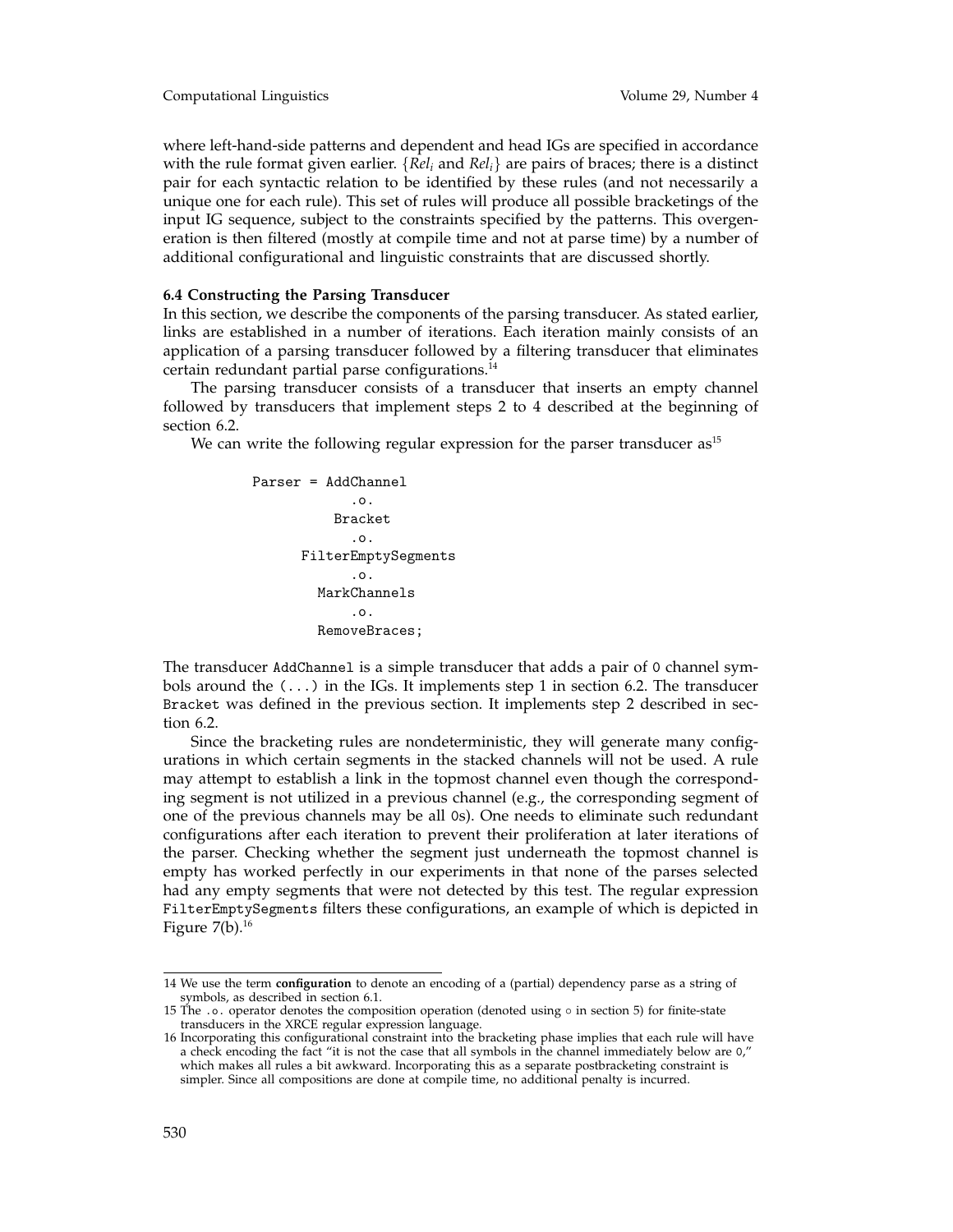where left-hand-side patterns and dependent and head IGs are specified in accordance with the rule format given earlier. {*Reli* and *Reli*} are pairs of braces; there is a distinct pair for each syntactic relation to be identified by these rules (and not necessarily a unique one for each rule). This set of rules will produce all possible bracketings of the input IG sequence, subject to the constraints specified by the patterns. This overgeneration is then filtered (mostly at compile time and not at parse time) by a number of additional configurational and linguistic constraints that are discussed shortly.

### **6.4 Constructing the Parsing Transducer**

In this section, we describe the components of the parsing transducer. As stated earlier, links are established in a number of iterations. Each iteration mainly consists of an application of a parsing transducer followed by a filtering transducer that eliminates certain redundant partial parse configurations.<sup>14</sup>

The parsing transducer consists of a transducer that inserts an empty channel followed by transducers that implement steps 2 to 4 described at the beginning of section 6.2.

We can write the following regular expression for the parser transducer  $as<sup>15</sup>$ 

```
Parser = AddChannel
             .o.
          Bracket
             .o.
      FilterEmptySegments
             .o.
        MarkChannels
             .o.
        RemoveBraces;
```
The transducer AddChannel is a simple transducer that adds a pair of 0 channel symbols around the  $(\ldots)$  in the IGs. It implements step 1 in section 6.2. The transducer Bracket was defined in the previous section. It implements step 2 described in section 6.2.

Since the bracketing rules are nondeterministic, they will generate many configurations in which certain segments in the stacked channels will not be used. A rule may attempt to establish a link in the topmost channel even though the corresponding segment is not utilized in a previous channel (e.g., the corresponding segment of one of the previous channels may be all 0s). One needs to eliminate such redundant configurations after each iteration to prevent their proliferation at later iterations of the parser. Checking whether the segment just underneath the topmost channel is empty has worked perfectly in our experiments in that none of the parses selected had any empty segments that were not detected by this test. The regular expression FilterEmptySegments filters these configurations, an example of which is depicted in Figure  $7(b)$ .<sup>16</sup>

<sup>14</sup> We use the term **configuration** to denote an encoding of a (partial) dependency parse as a string of symbols, as described in section 6.1.

<sup>15</sup> The .o. operator denotes the composition operation (denoted using ◦ in section 5) for finite-state transducers in the XRCE regular expression language.

<sup>16</sup> Incorporating this configurational constraint into the bracketing phase implies that each rule will have a check encoding the fact "it is not the case that all symbols in the channel immediately below are 0," which makes all rules a bit awkward. Incorporating this as a separate postbracketing constraint is simpler. Since all compositions are done at compile time, no additional penalty is incurred.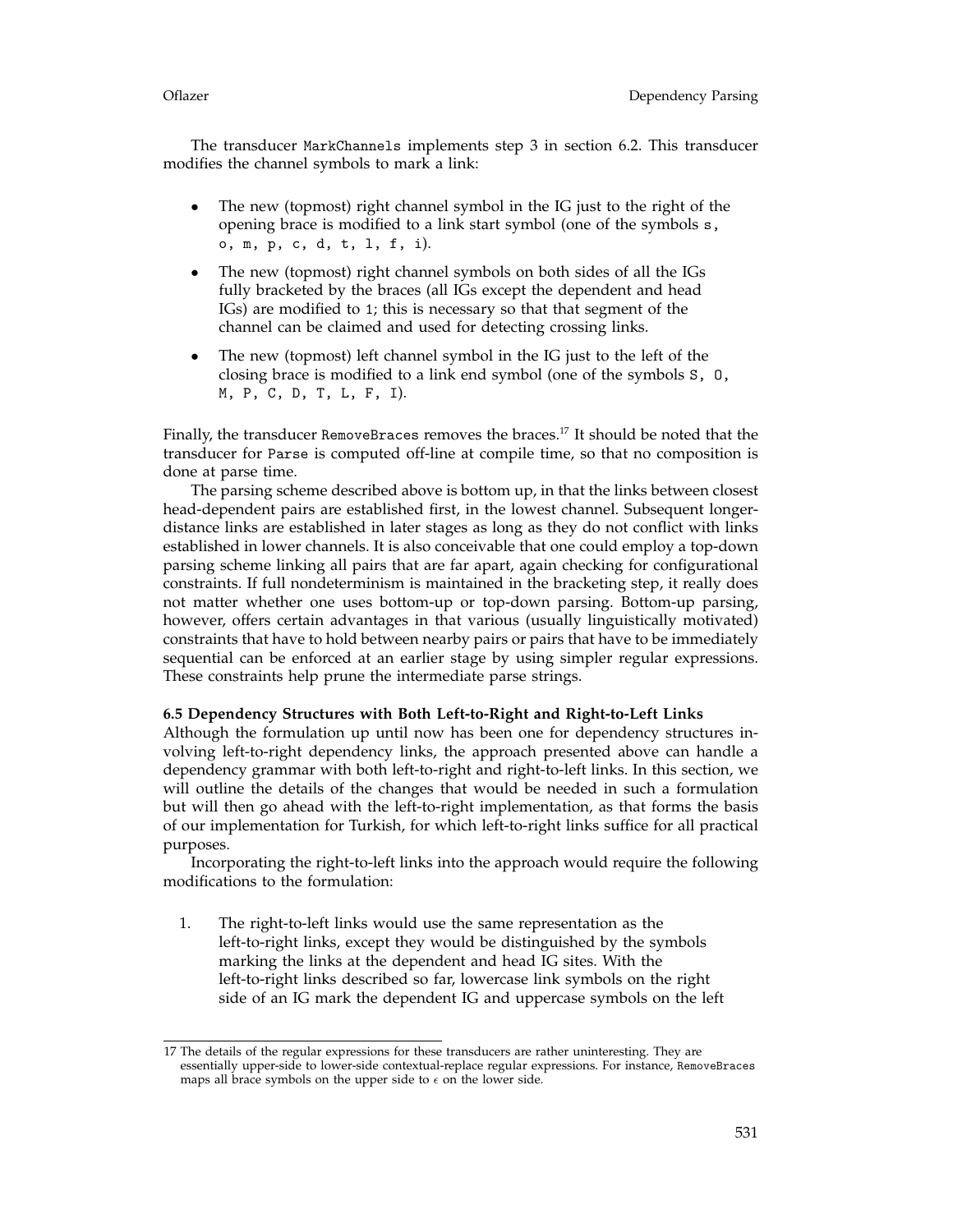The transducer MarkChannels implements step 3 in section 6.2. This transducer modifies the channel symbols to mark a link:

- The new (topmost) right channel symbol in the IG just to the right of the opening brace is modified to a link start symbol (one of the symbols s, o, m, p, c, d, t, l, f, i).
- The new (topmost) right channel symbols on both sides of all the IGs fully bracketed by the braces (all IGs except the dependent and head IGs) are modified to 1; this is necessary so that that segment of the channel can be claimed and used for detecting crossing links.
- The new (topmost) left channel symbol in the IG just to the left of the closing brace is modified to a link end symbol (one of the symbols S, O, M, P, C, D, T, L, F, I).

Finally, the transducer RemoveBraces removes the braces.<sup>17</sup> It should be noted that the transducer for Parse is computed off-line at compile time, so that no composition is done at parse time.

The parsing scheme described above is bottom up, in that the links between closest head-dependent pairs are established first, in the lowest channel. Subsequent longerdistance links are established in later stages as long as they do not conflict with links established in lower channels. It is also conceivable that one could employ a top-down parsing scheme linking all pairs that are far apart, again checking for configurational constraints. If full nondeterminism is maintained in the bracketing step, it really does not matter whether one uses bottom-up or top-down parsing. Bottom-up parsing, however, offers certain advantages in that various (usually linguistically motivated) constraints that have to hold between nearby pairs or pairs that have to be immediately sequential can be enforced at an earlier stage by using simpler regular expressions. These constraints help prune the intermediate parse strings.

### **6.5 Dependency Structures with Both Left-to-Right and Right-to-Left Links**

Although the formulation up until now has been one for dependency structures involving left-to-right dependency links, the approach presented above can handle a dependency grammar with both left-to-right and right-to-left links. In this section, we will outline the details of the changes that would be needed in such a formulation but will then go ahead with the left-to-right implementation, as that forms the basis of our implementation for Turkish, for which left-to-right links suffice for all practical purposes.

Incorporating the right-to-left links into the approach would require the following modifications to the formulation:

1. The right-to-left links would use the same representation as the left-to-right links, except they would be distinguished by the symbols marking the links at the dependent and head IG sites. With the left-to-right links described so far, lowercase link symbols on the right side of an IG mark the dependent IG and uppercase symbols on the left

<sup>17</sup> The details of the regular expressions for these transducers are rather uninteresting. They are essentially upper-side to lower-side contextual-replace regular expressions. For instance, RemoveBraces maps all brace symbols on the upper side to  $\epsilon$  on the lower side.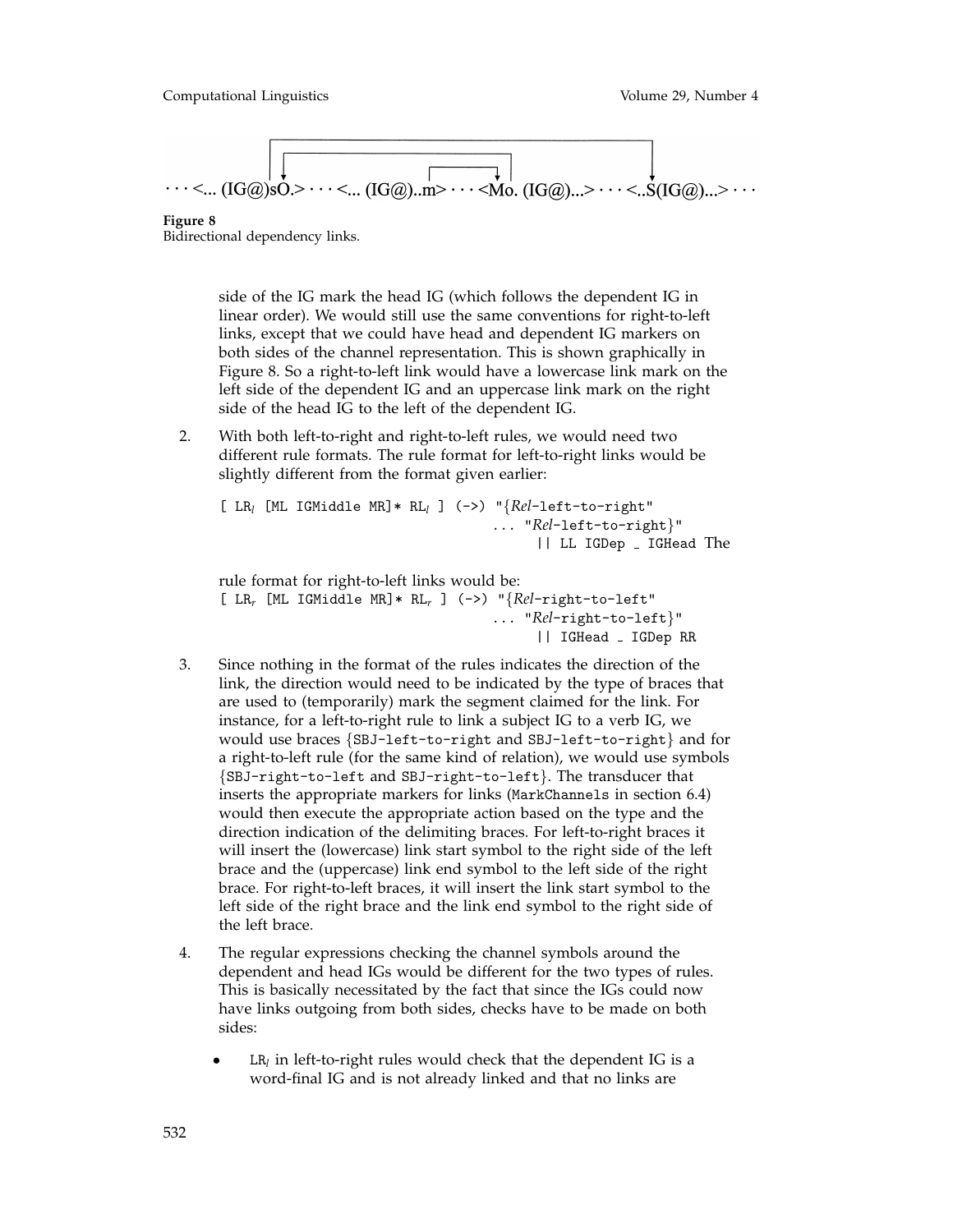**Figure 8**

Bidirectional dependency links.

side of the IG mark the head IG (which follows the dependent IG in linear order). We would still use the same conventions for right-to-left links, except that we could have head and dependent IG markers on both sides of the channel representation. This is shown graphically in Figure 8. So a right-to-left link would have a lowercase link mark on the left side of the dependent IG and an uppercase link mark on the right side of the head IG to the left of the dependent IG.

2. With both left-to-right and right-to-left rules, we would need two different rule formats. The rule format for left-to-right links would be slightly different from the format given earlier:

```
[ LRl [ML IGMiddle MR]* RLl ] (->) "{Rel-left-to-right"
                                  ... "Rel-left-to-right}"
                                       || LL IGDep IGHead The
```
rule format for right-to-left links would be:

```
[ LRr [ML IGMiddle MR]* RLr ] (->) "{Rel-right-to-left"
                                 ... "Rel-right-to-left}"
                                      || IGHead IGDep RR
```
- 3. Since nothing in the format of the rules indicates the direction of the link, the direction would need to be indicated by the type of braces that are used to (temporarily) mark the segment claimed for the link. For instance, for a left-to-right rule to link a subject IG to a verb IG, we would use braces {SBJ-left-to-right and SBJ-left-to-right} and for a right-to-left rule (for the same kind of relation), we would use symbols {SBJ-right-to-left and SBJ-right-to-left}. The transducer that inserts the appropriate markers for links (MarkChannels in section 6.4) would then execute the appropriate action based on the type and the direction indication of the delimiting braces. For left-to-right braces it will insert the (lowercase) link start symbol to the right side of the left brace and the (uppercase) link end symbol to the left side of the right brace. For right-to-left braces, it will insert the link start symbol to the left side of the right brace and the link end symbol to the right side of the left brace.
- 4. The regular expressions checking the channel symbols around the dependent and head IGs would be different for the two types of rules. This is basically necessitated by the fact that since the IGs could now have links outgoing from both sides, checks have to be made on both sides:
	- $LR_l$  in left-to-right rules would check that the dependent IG is a word-final IG and is not already linked and that no links are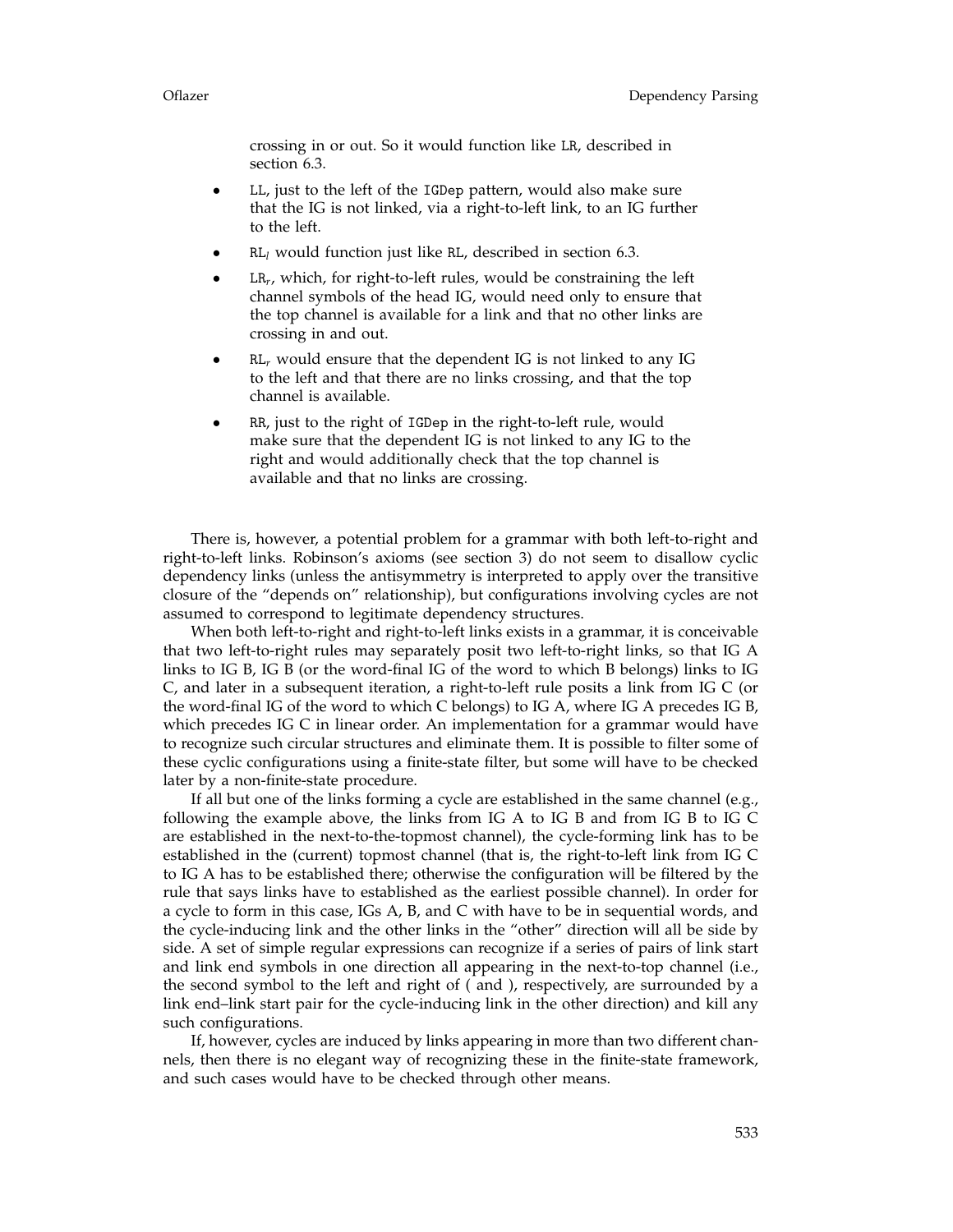crossing in or out. So it would function like LR, described in section 6.3.

- LL, just to the left of the IGDep pattern, would also make sure that the IG is not linked, via a right-to-left link, to an IG further to the left.
- $RL_l$  would function just like RL, described in section 6.3.
- LR<sub>r</sub>, which, for right-to-left rules, would be constraining the left channel symbols of the head IG, would need only to ensure that the top channel is available for a link and that no other links are crossing in and out.
- $RL<sub>r</sub>$  would ensure that the dependent IG is not linked to any IG to the left and that there are no links crossing, and that the top channel is available.
- RR, just to the right of IGDep in the right-to-left rule, would make sure that the dependent IG is not linked to any IG to the right and would additionally check that the top channel is available and that no links are crossing.

There is, however, a potential problem for a grammar with both left-to-right and right-to-left links. Robinson's axioms (see section 3) do not seem to disallow cyclic dependency links (unless the antisymmetry is interpreted to apply over the transitive closure of the "depends on" relationship), but configurations involving cycles are not assumed to correspond to legitimate dependency structures.

When both left-to-right and right-to-left links exists in a grammar, it is conceivable that two left-to-right rules may separately posit two left-to-right links, so that IG A links to IG B, IG B (or the word-final IG of the word to which B belongs) links to IG C, and later in a subsequent iteration, a right-to-left rule posits a link from IG C (or the word-final IG of the word to which C belongs) to IG A, where IG A precedes IG B, which precedes IG C in linear order. An implementation for a grammar would have to recognize such circular structures and eliminate them. It is possible to filter some of these cyclic configurations using a finite-state filter, but some will have to be checked later by a non-finite-state procedure.

If all but one of the links forming a cycle are established in the same channel (e.g., following the example above, the links from IG A to IG B and from IG B to IG C are established in the next-to-the-topmost channel), the cycle-forming link has to be established in the (current) topmost channel (that is, the right-to-left link from IG C to IG A has to be established there; otherwise the configuration will be filtered by the rule that says links have to established as the earliest possible channel). In order for a cycle to form in this case, IGs A, B, and C with have to be in sequential words, and the cycle-inducing link and the other links in the "other" direction will all be side by side. A set of simple regular expressions can recognize if a series of pairs of link start and link end symbols in one direction all appearing in the next-to-top channel (i.e., the second symbol to the left and right of ( and ), respectively, are surrounded by a link end–link start pair for the cycle-inducing link in the other direction) and kill any such configurations.

If, however, cycles are induced by links appearing in more than two different channels, then there is no elegant way of recognizing these in the finite-state framework, and such cases would have to be checked through other means.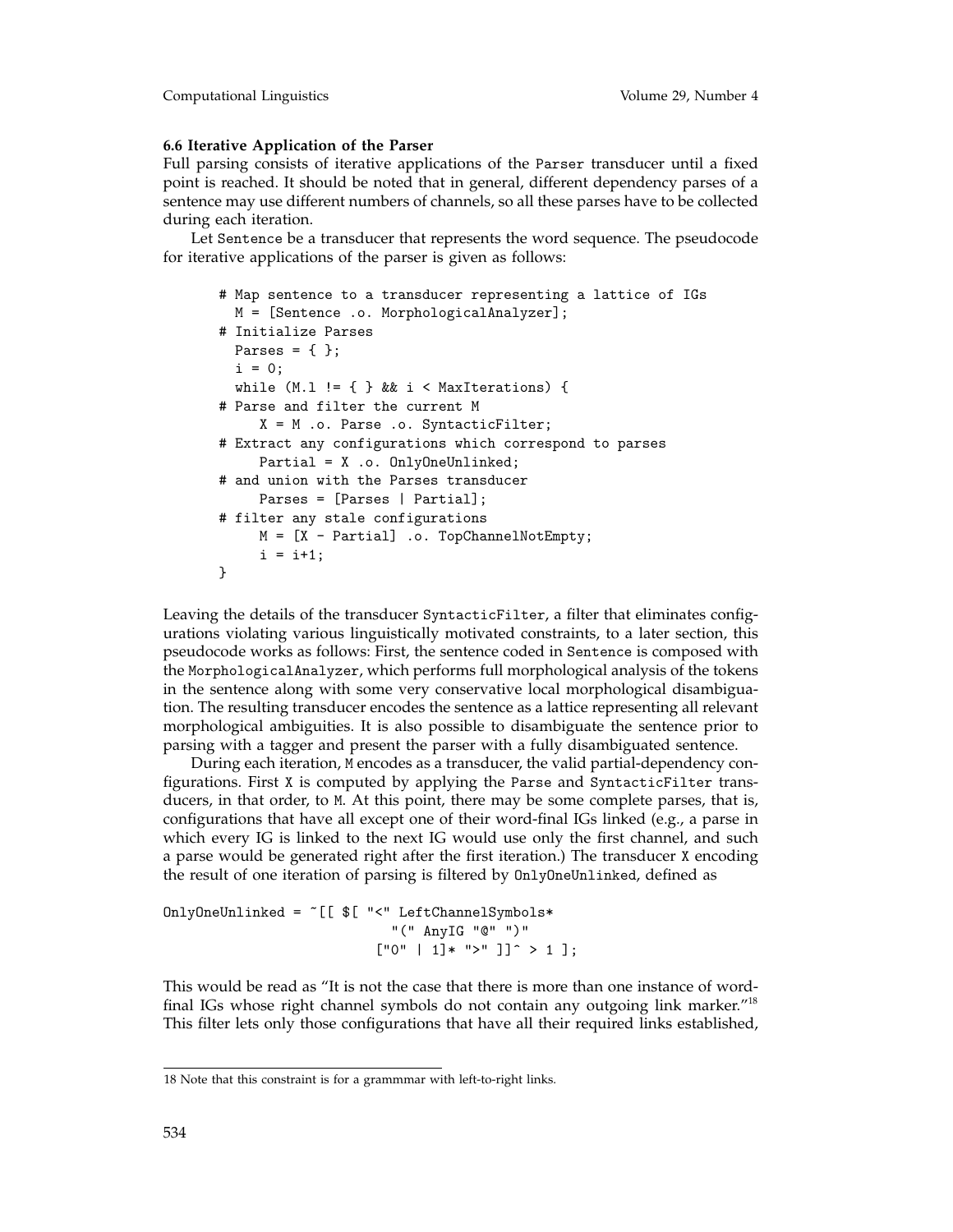### **6.6 Iterative Application of the Parser**

Full parsing consists of iterative applications of the Parser transducer until a fixed point is reached. It should be noted that in general, different dependency parses of a sentence may use different numbers of channels, so all these parses have to be collected during each iteration.

Let Sentence be a transducer that represents the word sequence. The pseudocode for iterative applications of the parser is given as follows:

```
# Map sentence to a transducer representing a lattice of IGs
 M = [Sentence .o. MorphologicalAnalyzer];
# Initialize Parses
 Parses = \{\};
 i = 0;while (M.1 := \{ \} && i < MaxIterations) {
# Parse and filter the current M
    X = M .o. Parse .o. SyntacticFilter;
# Extract any configurations which correspond to parses
    Partial = X .o. OnlyOneUnlinked;
# and union with the Parses transducer
    Parses = [Parses | Partial];
# filter any stale configurations
    M = [X - Partial] .o. TopChannelNotEmpty;
     i = i+1;}
```
Leaving the details of the transducer SyntacticFilter, a filter that eliminates configurations violating various linguistically motivated constraints, to a later section, this pseudocode works as follows: First, the sentence coded in Sentence is composed with the MorphologicalAnalyzer, which performs full morphological analysis of the tokens in the sentence along with some very conservative local morphological disambiguation. The resulting transducer encodes the sentence as a lattice representing all relevant morphological ambiguities. It is also possible to disambiguate the sentence prior to parsing with a tagger and present the parser with a fully disambiguated sentence.

During each iteration, M encodes as a transducer, the valid partial-dependency configurations. First X is computed by applying the Parse and SyntacticFilter transducers, in that order, to M. At this point, there may be some complete parses, that is, configurations that have all except one of their word-final IGs linked (e.g., a parse in which every IG is linked to the next IG would use only the first channel, and such a parse would be generated right after the first iteration.) The transducer X encoding the result of one iteration of parsing is filtered by OnlyOneUnlinked, defined as

OnlyOneUnlinked = ~[[ \$[ "<" LeftChannelSymbols\* "(" AnyIG "@" ")"  $["0" | 1]* ">" ]$ <sup> $\hat{ }$ </sup> > 1 ];

This would be read as "It is not the case that there is more than one instance of wordfinal IGs whose right channel symbols do not contain any outgoing link marker."18 This filter lets only those configurations that have all their required links established,

<sup>18</sup> Note that this constraint is for a grammmar with left-to-right links.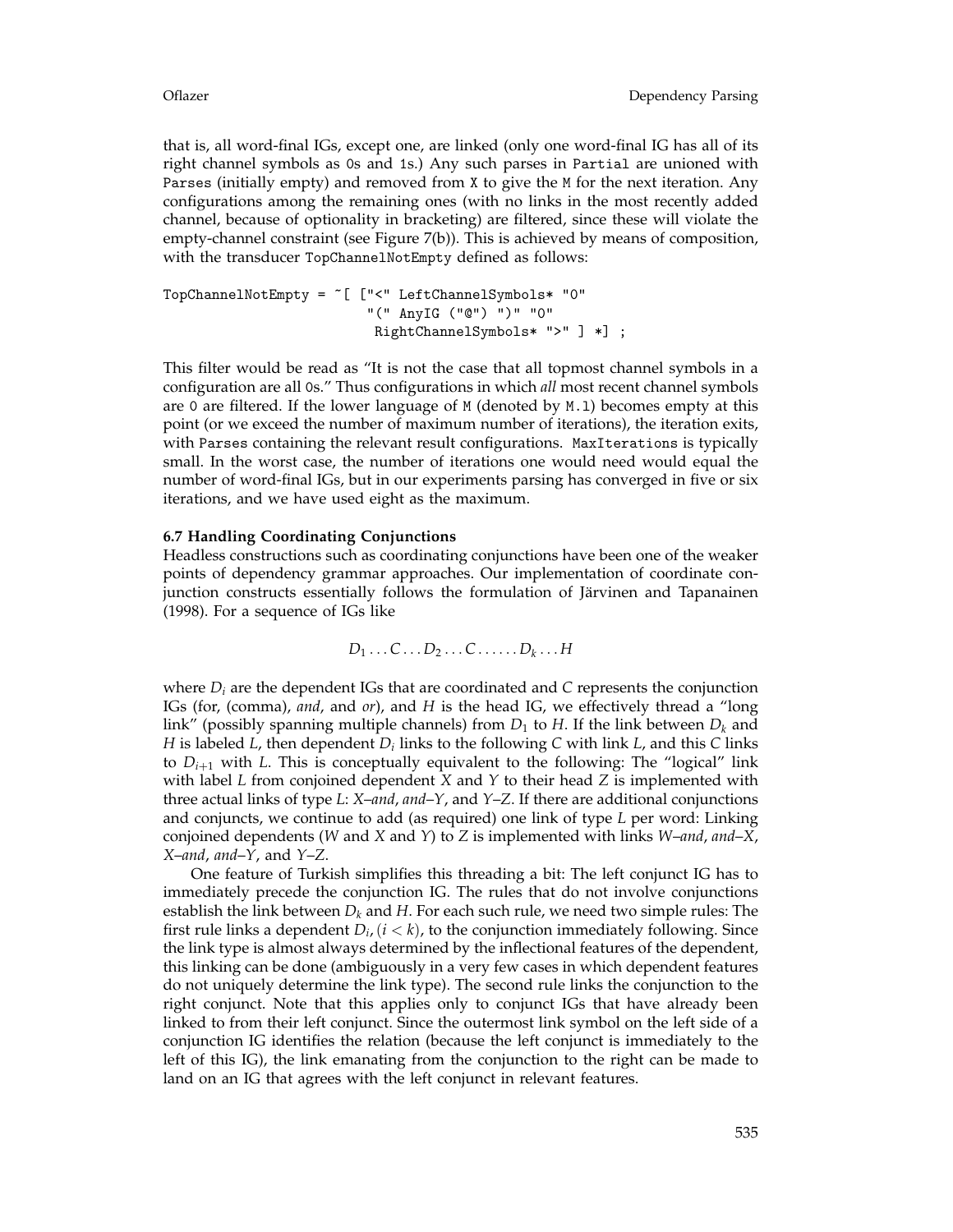that is, all word-final IGs, except one, are linked (only one word-final IG has all of its right channel symbols as 0s and 1s.) Any such parses in Partial are unioned with Parses (initially empty) and removed from X to give the M for the next iteration. Any configurations among the remaining ones (with no links in the most recently added channel, because of optionality in bracketing) are filtered, since these will violate the empty-channel constraint (see Figure 7(b)). This is achieved by means of composition, with the transducer TopChannelNotEmpty defined as follows:

TopChannelNotEmpty = ~[ ["<" LeftChannelSymbols\* "0" "(" AnyIG ("@") ")" "0" RightChannelSymbols\* ">" ] \*] ;

This filter would be read as "It is not the case that all topmost channel symbols in a configuration are all 0s." Thus configurations in which *all* most recent channel symbols are 0 are filtered. If the lower language of M (denoted by M.l) becomes empty at this point (or we exceed the number of maximum number of iterations), the iteration exits, with Parses containing the relevant result configurations. MaxIterations is typically small. In the worst case, the number of iterations one would need would equal the number of word-final IGs, but in our experiments parsing has converged in five or six iterations, and we have used eight as the maximum.

### **6.7 Handling Coordinating Conjunctions**

Headless constructions such as coordinating conjunctions have been one of the weaker points of dependency grammar approaches. Our implementation of coordinate conjunction constructs essentially follows the formulation of Järvinen and Tapanainen (1998). For a sequence of IGs like

$$
D_1 \ldots C \ldots D_2 \ldots C \ldots \ldots D_k \ldots H
$$

where *Di* are the dependent IGs that are coordinated and *C* represents the conjunction IGs (for, (comma), *and*, and *or*), and *H* is the head IG, we effectively thread a "long link" (possibly spanning multiple channels) from  $D_1$  to *H*. If the link between  $D_k$  and *H* is labeled *L*, then dependent *Di* links to the following *C* with link *L*, and this *C* links to  $D_{i+1}$  with L. This is conceptually equivalent to the following: The "logical" link with label *L* from conjoined dependent *X* and *Y* to their head *Z* is implemented with three actual links of type *L*: *X*–*and*, *and*–*Y*, and *Y*–*Z*. If there are additional conjunctions and conjuncts, we continue to add (as required) one link of type *L* per word: Linking conjoined dependents (*W* and *X* and *Y*) to *Z* is implemented with links *W*–*and*, *and*–*X*, *X*–*and*, *and*–*Y*, and *Y*–*Z*.

One feature of Turkish simplifies this threading a bit: The left conjunct IG has to immediately precede the conjunction IG. The rules that do not involve conjunctions establish the link between  $D_k$  and  $H$ . For each such rule, we need two simple rules: The first rule links a dependent  $D_i$ ,  $(i < k)$ , to the conjunction immediately following. Since the link type is almost always determined by the inflectional features of the dependent, this linking can be done (ambiguously in a very few cases in which dependent features do not uniquely determine the link type). The second rule links the conjunction to the right conjunct. Note that this applies only to conjunct IGs that have already been linked to from their left conjunct. Since the outermost link symbol on the left side of a conjunction IG identifies the relation (because the left conjunct is immediately to the left of this IG), the link emanating from the conjunction to the right can be made to land on an IG that agrees with the left conjunct in relevant features.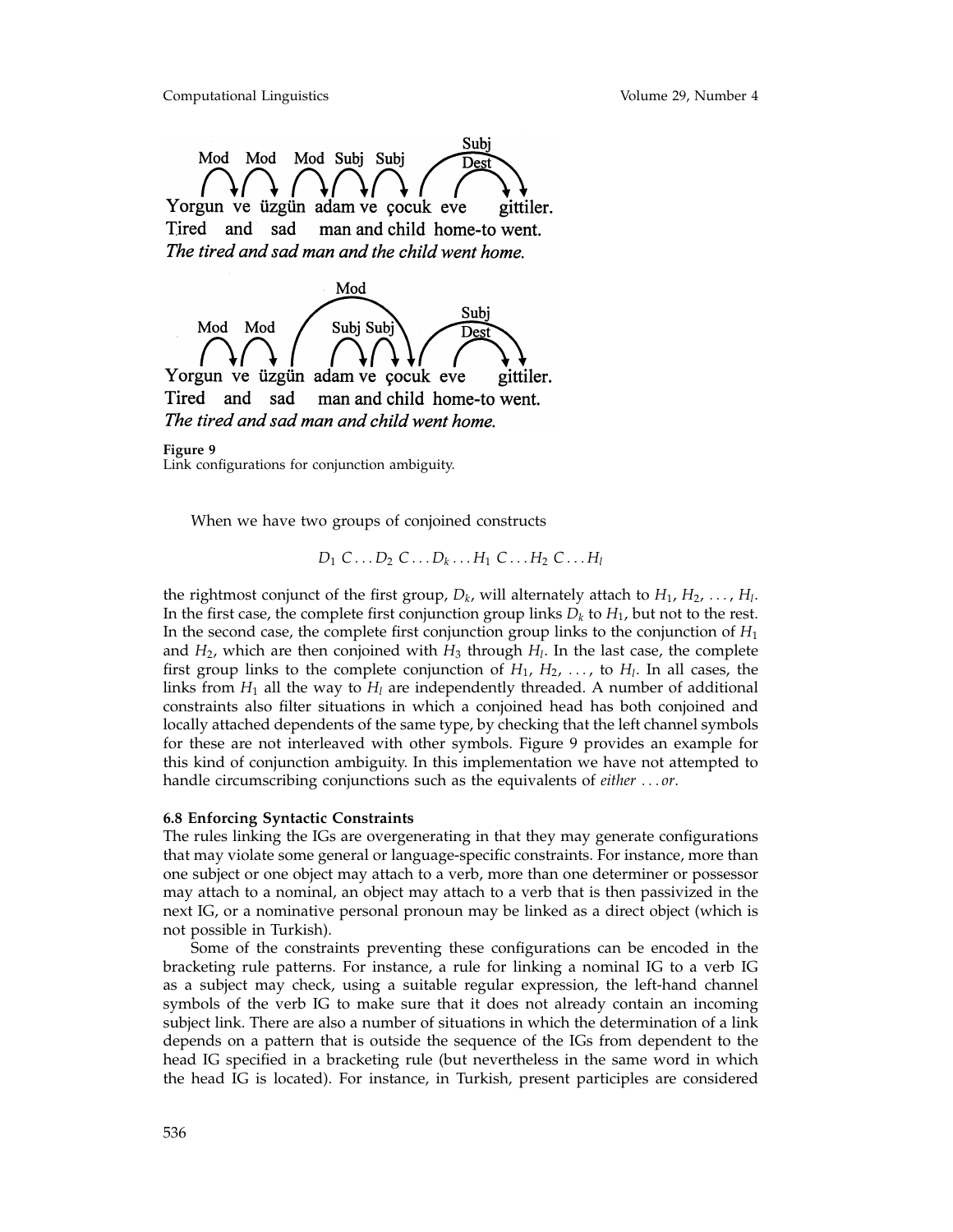



Tired sad man and child home-to went. and The tired and sad man and child went home.

**Figure 9** Link configurations for conjunction ambiguity.

When we have two groups of conjoined constructs

 $D_1 C \ldots D_2 C \ldots D_k \ldots H_1 C \ldots H_2 C \ldots H_l$ 

the rightmost conjunct of the first group,  $D_k$ , will alternately attach to  $H_1, H_2, \ldots, H_l$ . In the first case, the complete first conjunction group links  $D_k$  to  $H_1$ , but not to the rest. In the second case, the complete first conjunction group links to the conjunction of *H*<sup>1</sup> and  $H_2$ , which are then conjoined with  $H_3$  through  $H_1$ . In the last case, the complete first group links to the complete conjunction of  $H_1, H_2, \ldots$ , to  $H_l$ . In all cases, the links from  $H_1$  all the way to  $H_1$  are independently threaded. A number of additional constraints also filter situations in which a conjoined head has both conjoined and locally attached dependents of the same type, by checking that the left channel symbols for these are not interleaved with other symbols. Figure 9 provides an example for this kind of conjunction ambiguity. In this implementation we have not attempted to handle circumscribing conjunctions such as the equivalents of *either* ... *or*.

### **6.8 Enforcing Syntactic Constraints**

The rules linking the IGs are overgenerating in that they may generate configurations that may violate some general or language-specific constraints. For instance, more than one subject or one object may attach to a verb, more than one determiner or possessor may attach to a nominal, an object may attach to a verb that is then passivized in the next IG, or a nominative personal pronoun may be linked as a direct object (which is not possible in Turkish).

Some of the constraints preventing these configurations can be encoded in the bracketing rule patterns. For instance, a rule for linking a nominal IG to a verb IG as a subject may check, using a suitable regular expression, the left-hand channel symbols of the verb IG to make sure that it does not already contain an incoming subject link. There are also a number of situations in which the determination of a link depends on a pattern that is outside the sequence of the IGs from dependent to the head IG specified in a bracketing rule (but nevertheless in the same word in which the head IG is located). For instance, in Turkish, present participles are considered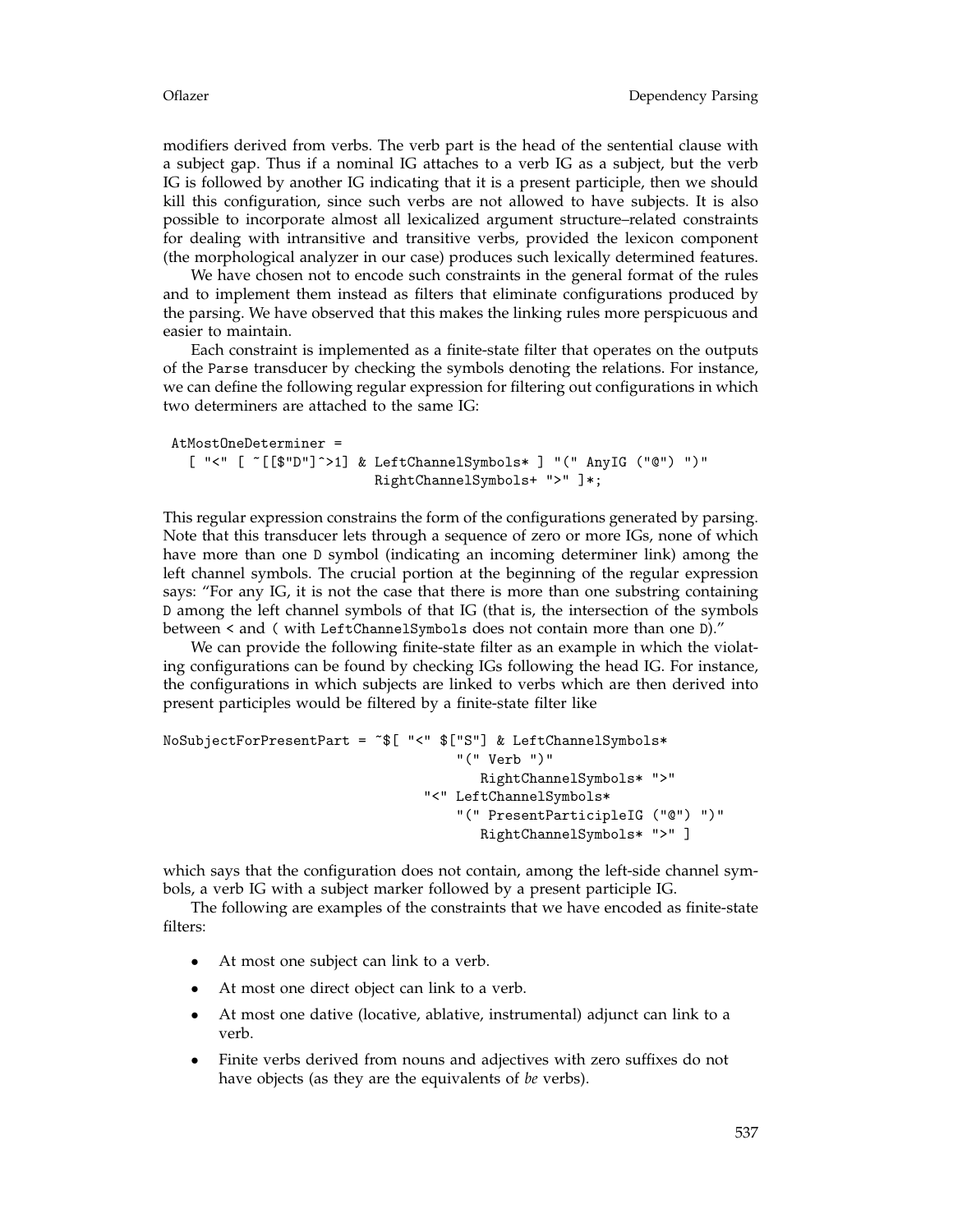modifiers derived from verbs. The verb part is the head of the sentential clause with a subject gap. Thus if a nominal IG attaches to a verb IG as a subject, but the verb IG is followed by another IG indicating that it is a present participle, then we should kill this configuration, since such verbs are not allowed to have subjects. It is also possible to incorporate almost all lexicalized argument structure–related constraints for dealing with intransitive and transitive verbs, provided the lexicon component (the morphological analyzer in our case) produces such lexically determined features.

We have chosen not to encode such constraints in the general format of the rules and to implement them instead as filters that eliminate configurations produced by the parsing. We have observed that this makes the linking rules more perspicuous and easier to maintain.

Each constraint is implemented as a finite-state filter that operates on the outputs of the Parse transducer by checking the symbols denoting the relations. For instance, we can define the following regular expression for filtering out configurations in which two determiners are attached to the same IG:

```
AtMostOneDeterminer =
  [ "<" [ ~[[$"D"]^>1] & LeftChannelSymbols* ] "(" AnyIG ("@") ")"
                         RightChannelSymbols+ ">" ]*;
```
This regular expression constrains the form of the configurations generated by parsing. Note that this transducer lets through a sequence of zero or more IGs, none of which have more than one D symbol (indicating an incoming determiner link) among the left channel symbols. The crucial portion at the beginning of the regular expression says: "For any IG, it is not the case that there is more than one substring containing D among the left channel symbols of that IG (that is, the intersection of the symbols between < and ( with LeftChannelSymbols does not contain more than one D)."

We can provide the following finite-state filter as an example in which the violating configurations can be found by checking IGs following the head IG. For instance, the configurations in which subjects are linked to verbs which are then derived into present participles would be filtered by a finite-state filter like

```
NoSubjectForPresentPart = ~$[ "<" $["S"] & LeftChannelSymbols*
                                    "(" Verb ")"
                                       RightChannelSymbols* ">"
                                "<" LeftChannelSymbols*
                                    "(" PresentParticipleIG ("@") ")"
                                       RightChannelSymbols* ">" ]
```
which says that the configuration does not contain, among the left-side channel symbols, a verb IG with a subject marker followed by a present participle IG.

The following are examples of the constraints that we have encoded as finite-state filters:

- At most one subject can link to a verb.
- At most one direct object can link to a verb.
- At most one dative (locative, ablative, instrumental) adjunct can link to a verb.
- Finite verbs derived from nouns and adjectives with zero suffixes do not have objects (as they are the equivalents of *be* verbs).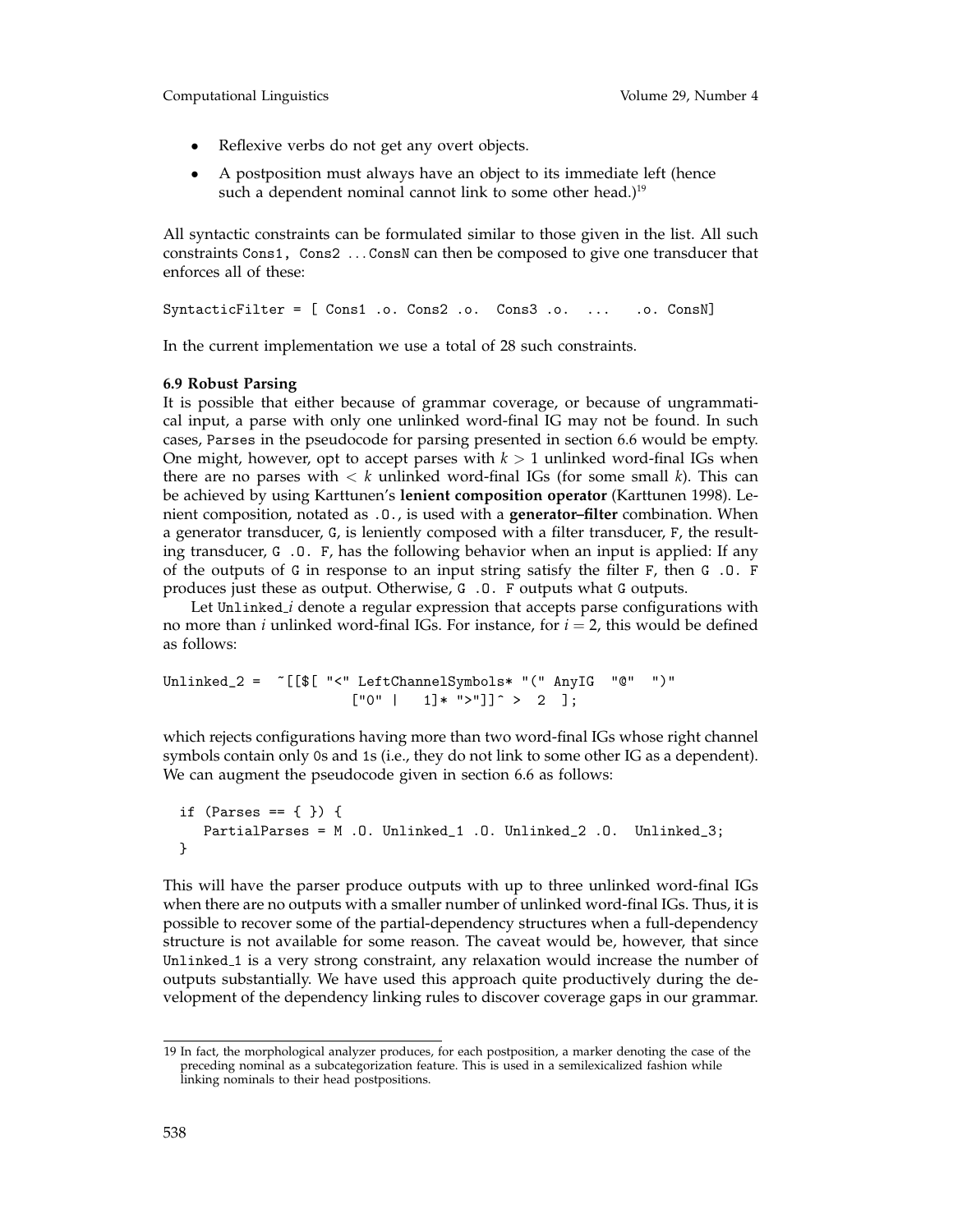- Reflexive verbs do not get any overt objects.
- A postposition must always have an object to its immediate left (hence such a dependent nominal cannot link to some other head.)<sup>19</sup>

All syntactic constraints can be formulated similar to those given in the list. All such constraints Cons1, Cons2 ... ConsN can then be composed to give one transducer that enforces all of these:

SyntacticFilter = [ Cons1 .o. Cons2 .o. Cons3 .o. ... .o. ConsN]

In the current implementation we use a total of 28 such constraints.

### **6.9 Robust Parsing**

It is possible that either because of grammar coverage, or because of ungrammatical input, a parse with only one unlinked word-final IG may not be found. In such cases, Parses in the pseudocode for parsing presented in section 6.6 would be empty. One might, however, opt to accept parses with  $k > 1$  unlinked word-final IGs when there are no parses with < *k* unlinked word-final IGs (for some small *k*). This can be achieved by using Karttunen's **lenient composition operator** (Karttunen 1998). Lenient composition, notated as .O., is used with a **generator–filter** combination. When a generator transducer, G, is leniently composed with a filter transducer, F, the resulting transducer, G .O. F, has the following behavior when an input is applied: If any of the outputs of G in response to an input string satisfy the filter F, then G .O. F produces just these as output. Otherwise, G .O. F outputs what G outputs.

Let Unlinked *i* denote a regular expression that accepts parse configurations with no more than *i* unlinked word-final IGs. For instance, for  $i = 2$ , this would be defined as follows:

Unlinked\_2 = ~[[\$[ "<" LeftChannelSymbols\* "(" AnyIG "@" ")"  $["0" | 1]* ">="]^2 > 2$  ];

which rejects configurations having more than two word-final IGs whose right channel symbols contain only 0s and 1s (i.e., they do not link to some other IG as a dependent). We can augment the pseudocode given in section 6.6 as follows:

```
if (Parses == \{ \}) \{ \}PartialParses = M .O. Unlinked_1 .O. Unlinked_2 .O. Unlinked_3;
}
```
This will have the parser produce outputs with up to three unlinked word-final IGs when there are no outputs with a smaller number of unlinked word-final IGs. Thus, it is possible to recover some of the partial-dependency structures when a full-dependency structure is not available for some reason. The caveat would be, however, that since Unlinked 1 is a very strong constraint, any relaxation would increase the number of outputs substantially. We have used this approach quite productively during the development of the dependency linking rules to discover coverage gaps in our grammar.

<sup>19</sup> In fact, the morphological analyzer produces, for each postposition, a marker denoting the case of the preceding nominal as a subcategorization feature. This is used in a semilexicalized fashion while linking nominals to their head postpositions.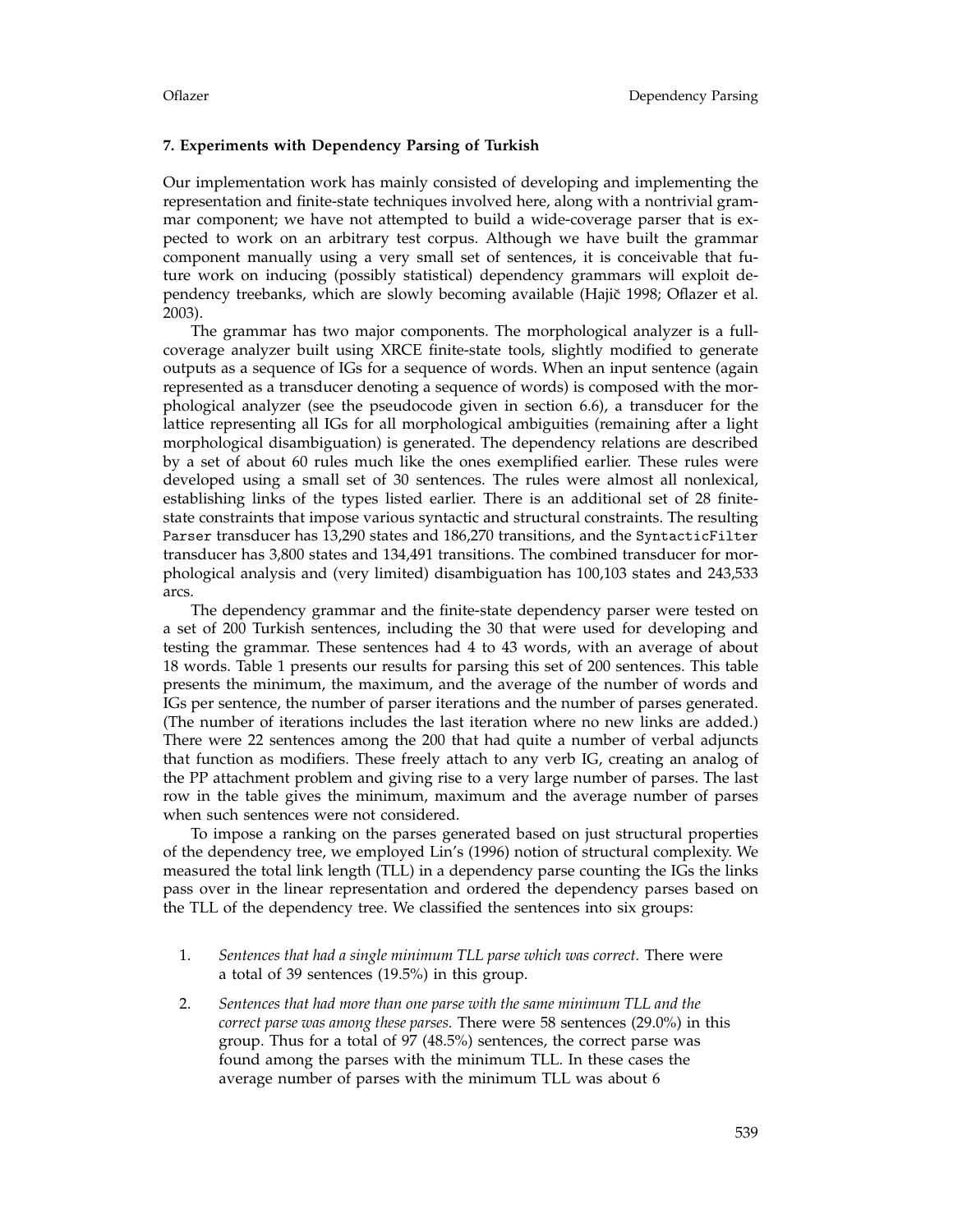### **7. Experiments with Dependency Parsing of Turkish**

Our implementation work has mainly consisted of developing and implementing the representation and finite-state techniques involved here, along with a nontrivial grammar component; we have not attempted to build a wide-coverage parser that is expected to work on an arbitrary test corpus. Although we have built the grammar component manually using a very small set of sentences, it is conceivable that future work on inducing (possibly statistical) dependency grammars will exploit dependency treebanks, which are slowly becoming available (Hajič 1998; Oflazer et al. 2003).

The grammar has two major components. The morphological analyzer is a fullcoverage analyzer built using XRCE finite-state tools, slightly modified to generate outputs as a sequence of IGs for a sequence of words. When an input sentence (again represented as a transducer denoting a sequence of words) is composed with the morphological analyzer (see the pseudocode given in section 6.6), a transducer for the lattice representing all IGs for all morphological ambiguities (remaining after a light morphological disambiguation) is generated. The dependency relations are described by a set of about 60 rules much like the ones exemplified earlier. These rules were developed using a small set of 30 sentences. The rules were almost all nonlexical, establishing links of the types listed earlier. There is an additional set of 28 finitestate constraints that impose various syntactic and structural constraints. The resulting Parser transducer has 13,290 states and 186,270 transitions, and the SyntacticFilter transducer has 3,800 states and 134,491 transitions. The combined transducer for morphological analysis and (very limited) disambiguation has 100,103 states and 243,533 arcs.

The dependency grammar and the finite-state dependency parser were tested on a set of 200 Turkish sentences, including the 30 that were used for developing and testing the grammar. These sentences had 4 to 43 words, with an average of about 18 words. Table 1 presents our results for parsing this set of 200 sentences. This table presents the minimum, the maximum, and the average of the number of words and IGs per sentence, the number of parser iterations and the number of parses generated. (The number of iterations includes the last iteration where no new links are added.) There were 22 sentences among the 200 that had quite a number of verbal adjuncts that function as modifiers. These freely attach to any verb IG, creating an analog of the PP attachment problem and giving rise to a very large number of parses. The last row in the table gives the minimum, maximum and the average number of parses when such sentences were not considered.

To impose a ranking on the parses generated based on just structural properties of the dependency tree, we employed Lin's (1996) notion of structural complexity. We measured the total link length (TLL) in a dependency parse counting the IGs the links pass over in the linear representation and ordered the dependency parses based on the TLL of the dependency tree. We classified the sentences into six groups:

- 1. *Sentences that had a single minimum TLL parse which was correct.* There were a total of 39 sentences (19.5%) in this group.
- 2. *Sentences that had more than one parse with the same minimum TLL and the correct parse was among these parses.* There were 58 sentences (29.0%) in this group. Thus for a total of 97 (48.5%) sentences, the correct parse was found among the parses with the minimum TLL. In these cases the average number of parses with the minimum TLL was about 6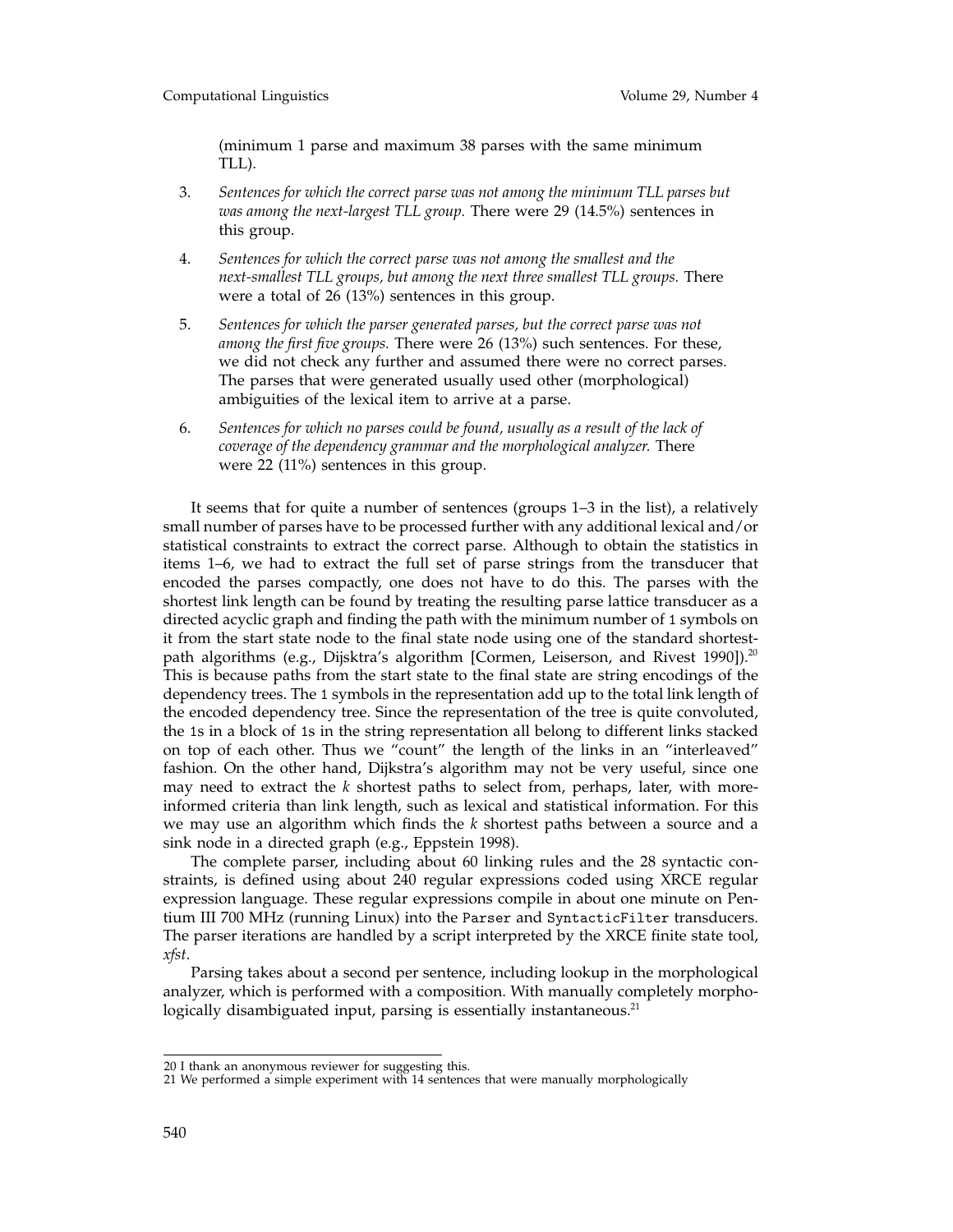(minimum 1 parse and maximum 38 parses with the same minimum TLL).

- 3. *Sentences for which the correct parse was not among the minimum TLL parses but was among the next-largest TLL group.* There were 29 (14.5%) sentences in this group.
- 4. *Sentences for which the correct parse was not among the smallest and the next-smallest TLL groups, but among the next three smallest TLL groups.* There were a total of 26 (13%) sentences in this group.
- 5. *Sentences for which the parser generated parses, but the correct parse was not among the first five groups.* There were 26 (13%) such sentences. For these, we did not check any further and assumed there were no correct parses. The parses that were generated usually used other (morphological) ambiguities of the lexical item to arrive at a parse.
- 6. *Sentences for which no parses could be found, usually as a result of the lack of coverage of the dependency grammar and the morphological analyzer.* There were 22 (11%) sentences in this group.

It seems that for quite a number of sentences (groups 1–3 in the list), a relatively small number of parses have to be processed further with any additional lexical and/or statistical constraints to extract the correct parse. Although to obtain the statistics in items 1–6, we had to extract the full set of parse strings from the transducer that encoded the parses compactly, one does not have to do this. The parses with the shortest link length can be found by treating the resulting parse lattice transducer as a directed acyclic graph and finding the path with the minimum number of 1 symbols on it from the start state node to the final state node using one of the standard shortestpath algorithms (e.g., Dijsktra's algorithm [Cormen, Leiserson, and Rivest 1990]).<sup>20</sup> This is because paths from the start state to the final state are string encodings of the dependency trees. The 1 symbols in the representation add up to the total link length of the encoded dependency tree. Since the representation of the tree is quite convoluted, the 1s in a block of 1s in the string representation all belong to different links stacked on top of each other. Thus we "count" the length of the links in an "interleaved" fashion. On the other hand, Dijkstra's algorithm may not be very useful, since one may need to extract the *k* shortest paths to select from, perhaps, later, with moreinformed criteria than link length, such as lexical and statistical information. For this we may use an algorithm which finds the *k* shortest paths between a source and a sink node in a directed graph (e.g., Eppstein 1998).

The complete parser, including about 60 linking rules and the 28 syntactic constraints, is defined using about 240 regular expressions coded using XRCE regular expression language. These regular expressions compile in about one minute on Pentium III 700 MHz (running Linux) into the Parser and SyntacticFilter transducers. The parser iterations are handled by a script interpreted by the XRCE finite state tool, *xfst*.

Parsing takes about a second per sentence, including lookup in the morphological analyzer, which is performed with a composition. With manually completely morphologically disambiguated input, parsing is essentially instantaneous.<sup>21</sup>

<sup>20</sup> I thank an anonymous reviewer for suggesting this.

<sup>21</sup> We performed a simple experiment with 14 sentences that were manually morphologically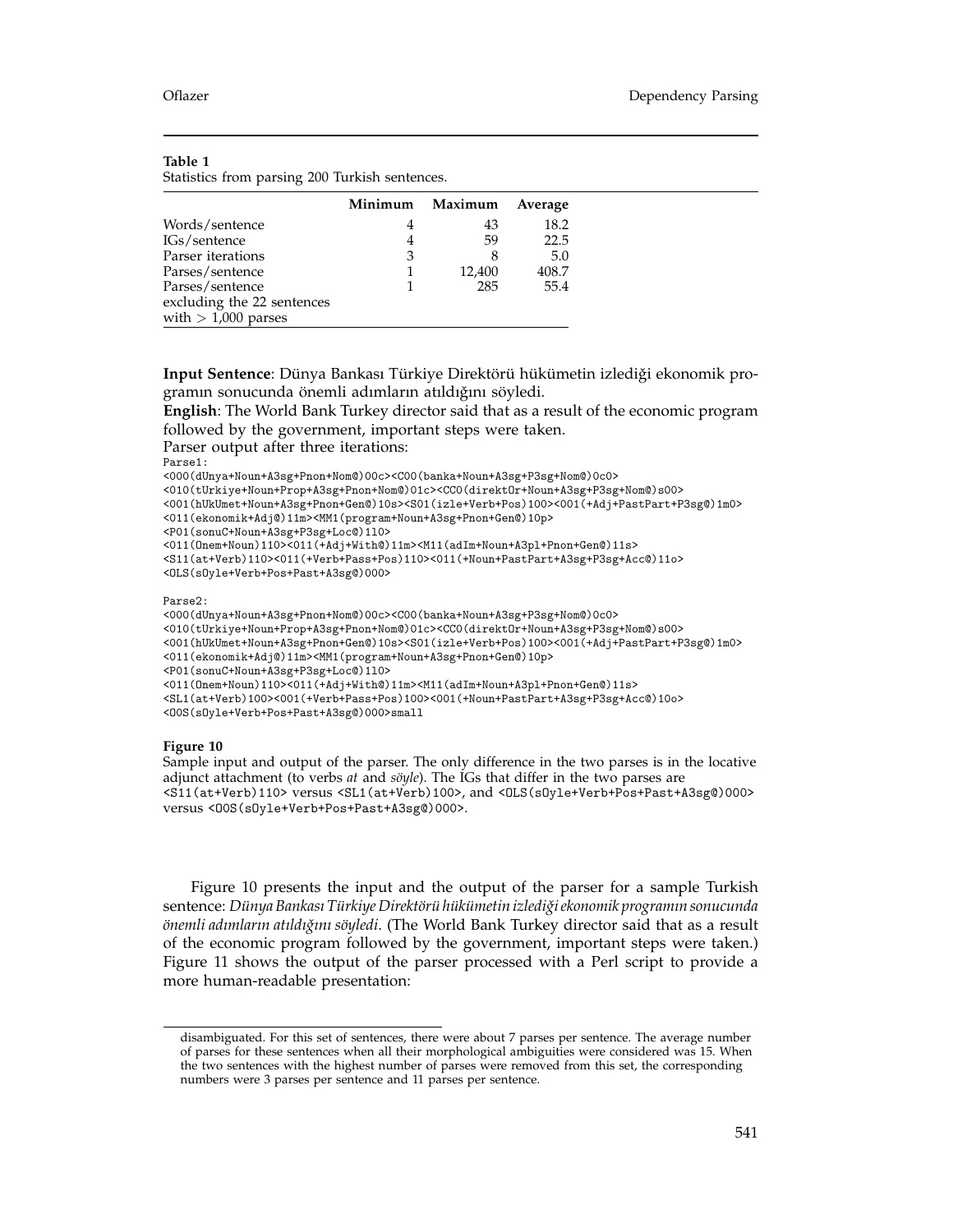### **Table 1**

Statistics from parsing 200 Turkish sentences.

|                            | Minimum | Maximum | Average |
|----------------------------|---------|---------|---------|
| Words/sentence             |         | 43      | 18.2    |
| IGs/sentence               |         | 59      | 22.5    |
| Parser iterations          | 3       | 8       | 5.0     |
| Parses/sentence            |         | 12,400  | 408.7   |
| Parses/sentence            |         | 285     | 55.4    |
| excluding the 22 sentences |         |         |         |
| with $> 1,000$ parses      |         |         |         |

Input Sentence: Dünya Bankası Türkiye Direktörü hükümetin izlediği ekonomik programın sonucunda önemli adımların atıldığını söyledi.

**English**: The World Bank Turkey director said that as a result of the economic program followed by the government, important steps were taken.

Parser output after three iterations:

Parse1:

<000(dUnya+Noun+A3sg+Pnon+Nom@)00c><C00(banka+Noun+A3sg+P3sg+Nom@)0c0>

<010(tUrkiye+Noun+Prop+A3sg+Pnon+Nom@)01c><CC0(direktOr+Noun+A3sg+P3sg+Nom@)s00>

- <001(hUkUmet+Noun+A3sg+Pnon+Gen@)10s><S01(izle+Verb+Pos)100><001(+Adj+PastPart+P3sg@)1m0>
- <011(ekonomik+Adj@)11m><MM1(program+Noun+A3sg+Pnon+Gen@)10p>
- <P01(sonuC+Noun+A3sg+P3sg+Loc@)1l0>

<011(Onem+Noun)110><011(+Adj+With@)11m><M11(adIm+Noun+A3pl+Pnon+Gen@)11s>

Parse2:

<000(dUnya+Noun+A3sg+Pnon+Nom@)00c><C00(banka+Noun+A3sg+P3sg+Nom@)0c0> <010(tUrkiye+Noun+Prop+A3sg+Pnon+Nom@)01c><CC0(direktOr+Noun+A3sg+P3sg+Nom@)s00> <001(hUkUmet+Noun+A3sg+Pnon+Gen@)10s><S01(izle+Verb+Pos)100><001(+Adj+PastPart+P3sg@)1m0> <011(ekonomik+Adj@)11m><MM1(program+Noun+A3sg+Pnon+Gen@)10p> <P01(sonuC+Noun+A3sg+P3sg+Loc@)1l0> <011(Onem+Noun)110><011(+Adj+With@)11m><M11(adIm+Noun+A3pl+Pnon+Gen@)11s> <SL1(at+Verb)100><001(+Verb+Pass+Pos)100><001(+Noun+PastPart+A3sg+P3sg+Acc@)10o> <O0S(sOyle+Verb+Pos+Past+A3sg@)000>small

### **Figure 10**

Sample input and output of the parser. The only difference in the two parses is in the locative adjunct attachment (to verbs *at* and *söyle*). The IGs that differ in the two parses are <S11(at+Verb)110> versus <SL1(at+Verb)100>, and <OLS(sOyle+Verb+Pos+Past+A3sg@)000> versus <O0S(sOyle+Verb+Pos+Past+A3sg@)000>.

Figure 10 presents the input and the output of the parser for a sample Turkish sentence: *D¨unya Bankası T¨urkiye Direkt¨or¨uh¨uk¨umetin izlediˇgi ekonomik programın sonucunda onemli adımların atıldıˇ ¨ gını s¨oyledi*. (The World Bank Turkey director said that as a result of the economic program followed by the government, important steps were taken.) Figure 11 shows the output of the parser processed with a Perl script to provide a more human-readable presentation:

<sup>&</sup>lt;S11(at+Verb)110><011(+Verb+Pass+Pos)110><011(+Noun+PastPart+A3sg+P3sg+Acc@)11o> <OLS(sOyle+Verb+Pos+Past+A3sg@)000>

disambiguated. For this set of sentences, there were about 7 parses per sentence. The average number of parses for these sentences when all their morphological ambiguities were considered was 15. When the two sentences with the highest number of parses were removed from this set, the corresponding numbers were 3 parses per sentence and 11 parses per sentence.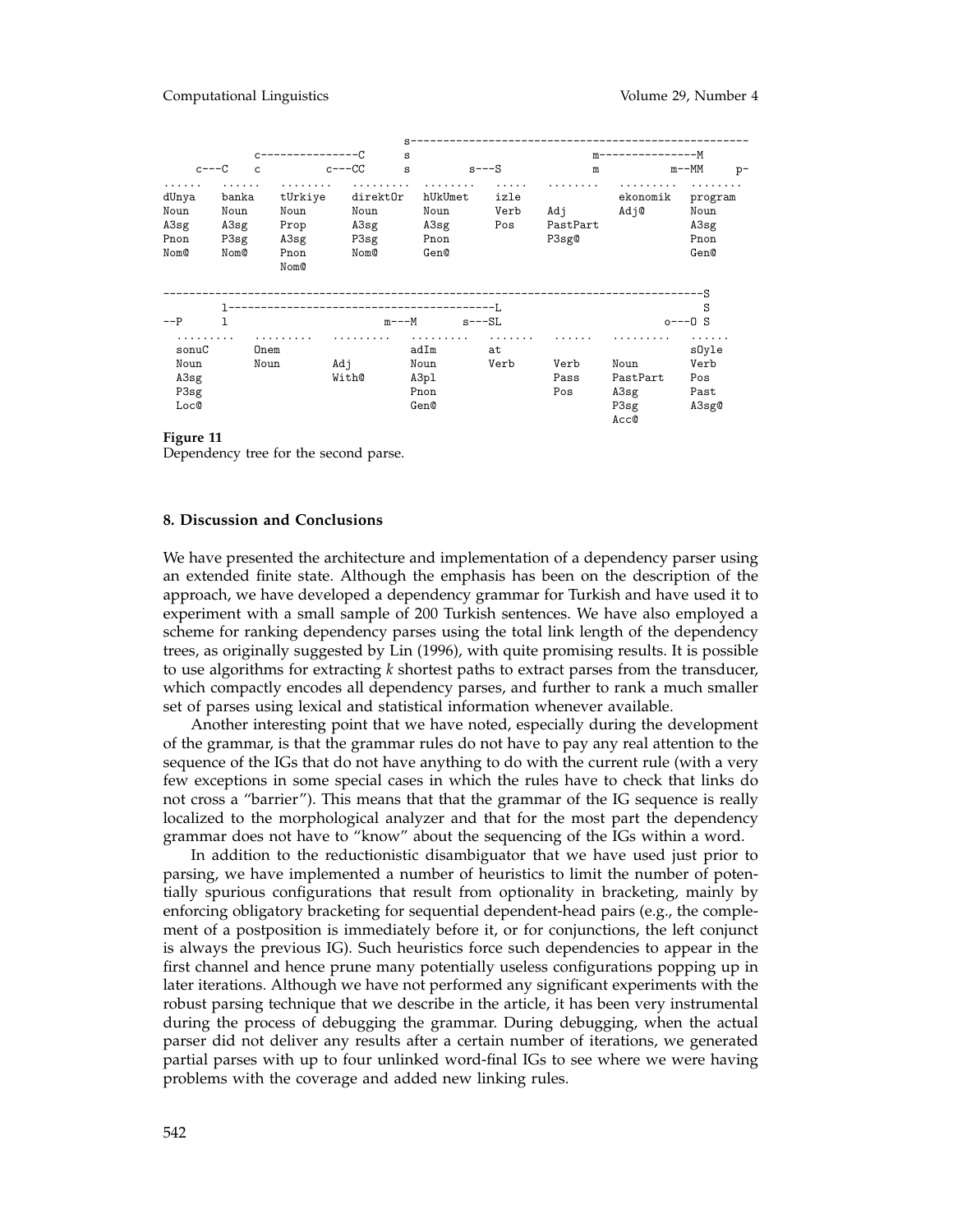|                                            |                      | ------------                 |                       | s                                    |                      |                   |                          | m---------------M                             |                                       |
|--------------------------------------------|----------------------|------------------------------|-----------------------|--------------------------------------|----------------------|-------------------|--------------------------|-----------------------------------------------|---------------------------------------|
| $c---C$                                    | C                    |                              | $c---CC$              | s                                    |                      | $s$ --- $S$       | m                        |                                               | $m$ --MM<br>$p-$                      |
| .<br>dUnya<br>Noun                         | .<br>banka<br>Noun   | .<br>tUrkiye<br>Noun         | .<br>direkt0r<br>Noun |                                      | .<br>hUkUmet<br>Noun | .<br>izle<br>Verb | .<br>Adj                 | .<br>ekonomik<br>Adj@                         | program<br>Noun                       |
| A3sg<br>Pnon<br>Nom@                       | A3sg<br>P3sg<br>Nom@ | Prop<br>A3sg<br>Pnon<br>Nom@ | A3sg<br>P3sg<br>Nom@  |                                      | A3sg<br>Pnon<br>Gen@ | Pos               | PastPart<br>P3sg0        |                                               | A3sg<br>Pnon<br>Gen@                  |
| $--P$                                      | 1                    |                              |                       | $m$ --- $M$                          |                      | $s$ --- $SL$      |                          |                                               | -S<br>S<br>$o---0$ S                  |
| .<br>sonuC<br>Noun<br>A3sg<br>P3sg<br>Loc@ |                      | .<br>Onem<br>Noun            | .<br>Adj<br>With@     | adIm<br>Noun<br>A3pl<br>Pnon<br>Gen@ | .                    | .<br>at<br>Verb   | .<br>Verb<br>Pass<br>Pos | .<br>Noun<br>PastPart<br>A3sg<br>P3sg<br>Acc@ | sOyle<br>Verb<br>Pos<br>Past<br>A3sg@ |

### **Figure 11**

Dependency tree for the second parse.

### **8. Discussion and Conclusions**

We have presented the architecture and implementation of a dependency parser using an extended finite state. Although the emphasis has been on the description of the approach, we have developed a dependency grammar for Turkish and have used it to experiment with a small sample of 200 Turkish sentences. We have also employed a scheme for ranking dependency parses using the total link length of the dependency trees, as originally suggested by Lin (1996), with quite promising results. It is possible to use algorithms for extracting *k* shortest paths to extract parses from the transducer, which compactly encodes all dependency parses, and further to rank a much smaller set of parses using lexical and statistical information whenever available.

Another interesting point that we have noted, especially during the development of the grammar, is that the grammar rules do not have to pay any real attention to the sequence of the IGs that do not have anything to do with the current rule (with a very few exceptions in some special cases in which the rules have to check that links do not cross a "barrier"). This means that that the grammar of the IG sequence is really localized to the morphological analyzer and that for the most part the dependency grammar does not have to "know" about the sequencing of the IGs within a word.

In addition to the reductionistic disambiguator that we have used just prior to parsing, we have implemented a number of heuristics to limit the number of potentially spurious configurations that result from optionality in bracketing, mainly by enforcing obligatory bracketing for sequential dependent-head pairs (e.g., the complement of a postposition is immediately before it, or for conjunctions, the left conjunct is always the previous IG). Such heuristics force such dependencies to appear in the first channel and hence prune many potentially useless configurations popping up in later iterations. Although we have not performed any significant experiments with the robust parsing technique that we describe in the article, it has been very instrumental during the process of debugging the grammar. During debugging, when the actual parser did not deliver any results after a certain number of iterations, we generated partial parses with up to four unlinked word-final IGs to see where we were having problems with the coverage and added new linking rules.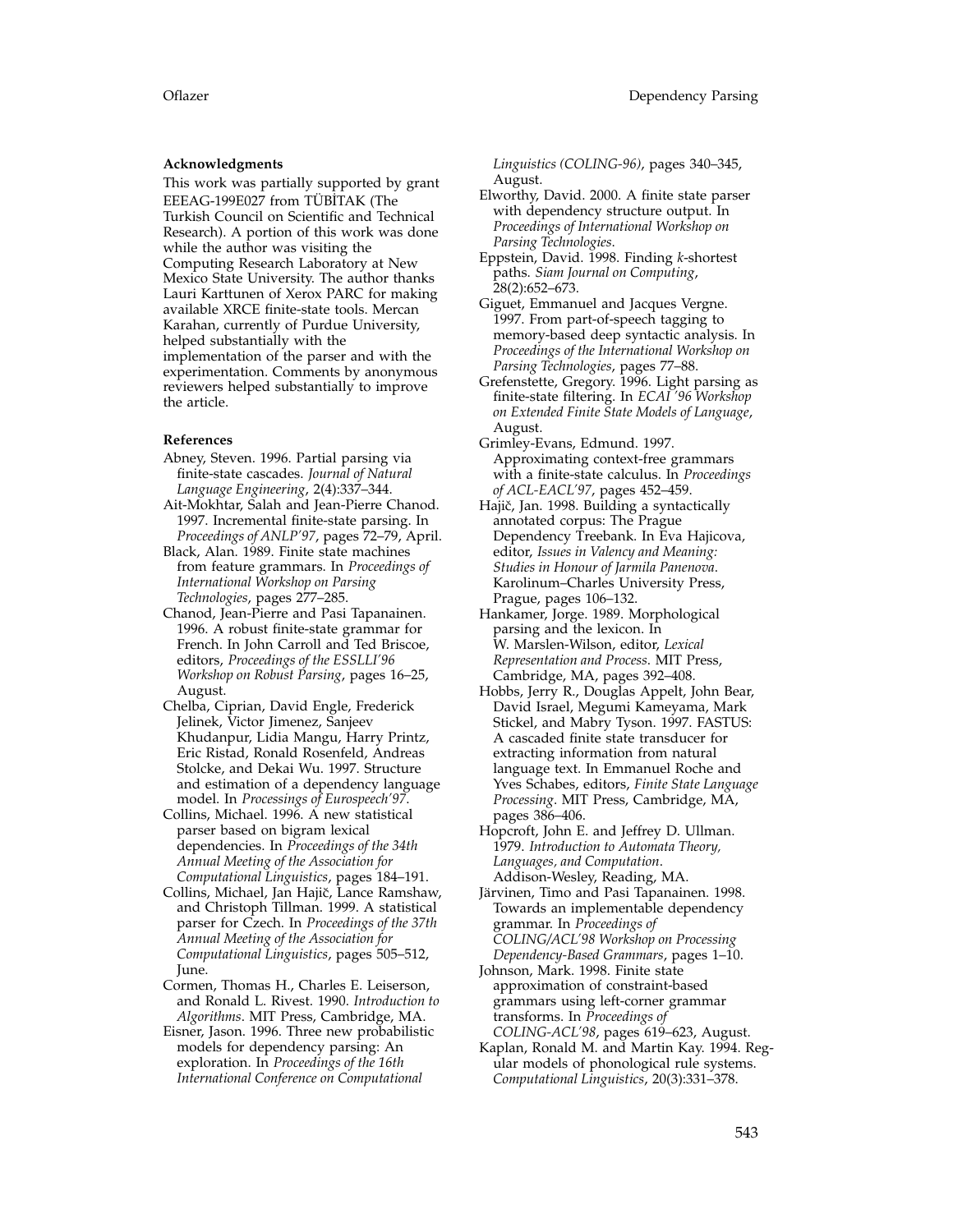### **Acknowledgments**

This work was partially supported by grant EEEAG-199E027 from TÜBİTAK (The Turkish Council on Scientific and Technical Research). A portion of this work was done while the author was visiting the Computing Research Laboratory at New Mexico State University. The author thanks Lauri Karttunen of Xerox PARC for making available XRCE finite-state tools. Mercan Karahan, currently of Purdue University, helped substantially with the implementation of the parser and with the experimentation. Comments by anonymous reviewers helped substantially to improve the article.

### **References**

- Abney, Steven. 1996. Partial parsing via finite-state cascades. *Journal of Natural Language Engineering*, 2(4):337–344.
- Ait-Mokhtar, Salah and Jean-Pierre Chanod. 1997. Incremental finite-state parsing. In *Proceedings of ANLP'97*, pages 72–79, April.
- Black, Alan. 1989. Finite state machines from feature grammars. In *Proceedings of International Workshop on Parsing Technologies*, pages 277–285.
- Chanod, Jean-Pierre and Pasi Tapanainen. 1996. A robust finite-state grammar for French. In John Carroll and Ted Briscoe, editors, *Proceedings of the ESSLLI'96 Workshop on Robust Parsing*, pages 16–25, August.
- Chelba, Ciprian, David Engle, Frederick Jelinek, Victor Jimenez, Sanjeev Khudanpur, Lidia Mangu, Harry Printz, Eric Ristad, Ronald Rosenfeld, Andreas Stolcke, and Dekai Wu. 1997. Structure and estimation of a dependency language model. In *Processings of Eurospeech'97*.
- Collins, Michael. 1996. A new statistical parser based on bigram lexical dependencies. In *Proceedings of the 34th Annual Meeting of the Association for Computational Linguistics*, pages 184–191.
- Collins, Michael, Jan Hajič, Lance Ramshaw, and Christoph Tillman. 1999. A statistical parser for Czech. In *Proceedings of the 37th Annual Meeting of the Association for Computational Linguistics*, pages 505–512, June.
- Cormen, Thomas H., Charles E. Leiserson, and Ronald L. Rivest. 1990. *Introduction to Algorithms*. MIT Press, Cambridge, MA.
- Eisner, Jason. 1996. Three new probabilistic models for dependency parsing: An exploration. In *Proceedings of the 16th International Conference on Computational*

*Linguistics (COLING-96)*, pages 340–345, August.

- Elworthy, David. 2000. A finite state parser with dependency structure output. In *Proceedings of International Workshop on Parsing Technologies*.
- Eppstein, David. 1998. Finding *k*-shortest paths. *Siam Journal on Computing*, 28(2):652–673.
- Giguet, Emmanuel and Jacques Vergne. 1997. From part-of-speech tagging to memory-based deep syntactic analysis. In *Proceedings of the International Workshop on Parsing Technologies*, pages 77–88.
- Grefenstette, Gregory. 1996. Light parsing as finite-state filtering. In *ECAI '96 Workshop on Extended Finite State Models of Language*, August.
- Grimley-Evans, Edmund. 1997. Approximating context-free grammars with a finite-state calculus. In *Proceedings of ACL-EACL'97*, pages 452–459.
- Hajič, Jan. 1998. Building a syntactically annotated corpus: The Prague Dependency Treebank. In Eva Hajicova, editor, *Issues in Valency and Meaning: Studies in Honour of Jarmila Panenova*. Karolinum–Charles University Press, Prague, pages 106–132.
- Hankamer, Jorge. 1989. Morphological parsing and the lexicon. In W. Marslen-Wilson, editor, *Lexical Representation and Process*. MIT Press, Cambridge, MA, pages 392–408.
- Hobbs, Jerry R., Douglas Appelt, John Bear, David Israel, Megumi Kameyama, Mark Stickel, and Mabry Tyson. 1997. FASTUS: A cascaded finite state transducer for extracting information from natural language text. In Emmanuel Roche and Yves Schabes, editors, *Finite State Language Processing*. MIT Press, Cambridge, MA, pages 386–406.
- Hopcroft, John E. and Jeffrey D. Ullman. 1979. *Introduction to Automata Theory, Languages, and Computation*. Addison-Wesley, Reading, MA.
- Järvinen, Timo and Pasi Tapanainen. 1998. Towards an implementable dependency grammar. In *Proceedings of COLING/ACL'98 Workshop on Processing Dependency-Based Grammars*, pages 1–10.
- Johnson, Mark. 1998. Finite state approximation of constraint-based grammars using left-corner grammar transforms. In *Proceedings of COLING-ACL'98*, pages 619–623, August.
- Kaplan, Ronald M. and Martin Kay. 1994. Regular models of phonological rule systems. *Computational Linguistics*, 20(3):331–378.